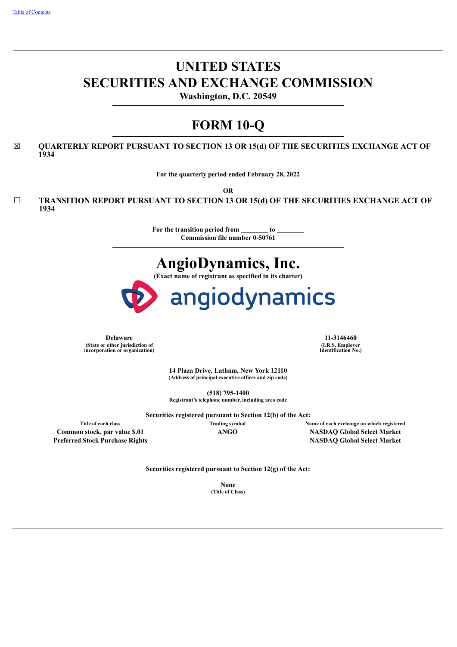# **UNITED STATES SECURITIES AND EXCHANGE COMMISSION**

**Washington, D.C. 20549**

# **FORM 10-Q**

☒ **QUARTERLY REPORT PURSUANT TO SECTION 13 OR 15(d) OF THE SECURITIES EXCHANGE ACT OF 1934**

**For the quarterly period ended February 28, 2022**

**OR**

☐ **TRANSITION REPORT PURSUANT TO SECTION 13 OR 15(d) OF THE SECURITIES EXCHANGE ACT OF 1934**

> **For the transition period from to Commission file number 0-50761**

# **AngioDynamics, Inc.**

**(Exact name of registrant as specified in its charter)**



**Delaware 11-3146460 (State or other jurisdiction of incorporation or organization)**

**(I.R.S. Employer Identification No.)**

**14 Plaza Drive, Latham, New York 12110 (Address of principal executive offices and zip code)**

**(518) 795-1400 Registrant's telephone number, including area code**

**Securities registered pursuant to Section 12(b) of the Act:**

**Title of each class Trading symbol Name of each exchange on which registered Common stock, par value \$.01 ANGO NASDAQ Global Select Market Preferred Stock Purchase Rights NASDAQ Global Select Market**

**Securities registered pursuant to Section 12(g) of the Act:**

**None (Title of Class)**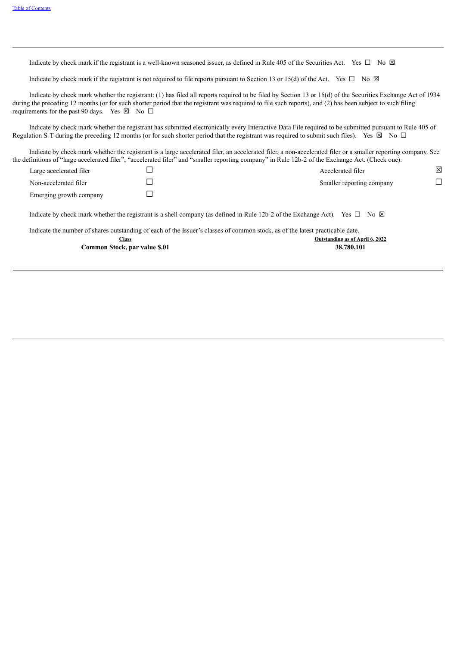Indicate by check mark if the registrant is a well-known seasoned issuer, as defined in Rule 405 of the Securities Act. Yes  $\Box$  No  $\boxtimes$ 

Indicate by check mark if the registrant is not required to file reports pursuant to Section 13 or 15(d) of the Act. Yes  $\Box$  No  $\boxtimes$ 

Indicate by check mark whether the registrant: (1) has filed all reports required to be filed by Section 13 or 15(d) of the Securities Exchange Act of 1934 during the preceding 12 months (or for such shorter period that the registrant was required to file such reports), and (2) has been subject to such filing requirements for the past 90 days. Yes  $\boxtimes$  No  $\Box$ 

Indicate by check mark whether the registrant has submitted electronically every Interactive Data File required to be submitted pursuant to Rule 405 of Regulation S-T during the preceding 12 months (or for such shorter period that the registrant was required to submit such files). Yes  $\boxtimes$  No  $\Box$ 

Indicate by check mark whether the registrant is a large accelerated filer, an accelerated filer, a non-accelerated filer or a smaller reporting company. See the definitions of "large accelerated filer", "accelerated filer" and "smaller reporting company" in Rule 12b-2 of the Exchange Act. (Check one):

| Large accelerated filer | Accelerated filer         | ⊠ |
|-------------------------|---------------------------|---|
| Non-accelerated filer   | Smaller reporting company |   |
| Emerging growth company |                           |   |

Indicate by check mark whether the registrant is a shell company (as defined in Rule 12b-2 of the Exchange Act). Yes  $\Box$  No  $\boxtimes$ 

<span id="page-1-0"></span>Indicate the number of shares outstanding of each of the Issuer's classes of common stock, as of the latest practicable date.

| Class                         | Outstanding as of April 6, 2022 |
|-------------------------------|---------------------------------|
| Common Stock, par value \$.01 | 38,780,101                      |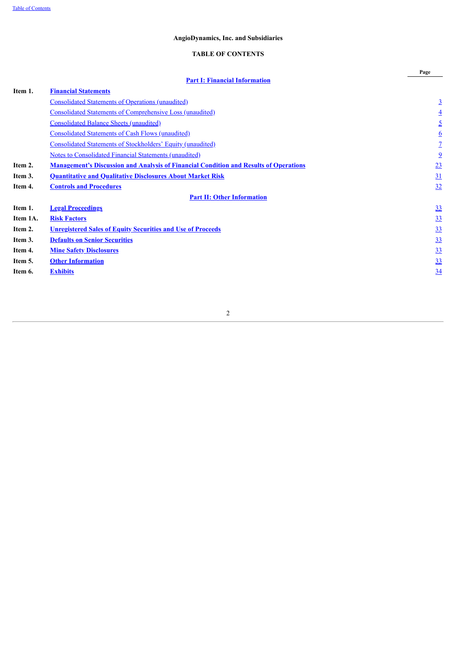## **TABLE OF CONTENTS**

<span id="page-2-0"></span>

|          |                                                                                              | Page           |
|----------|----------------------------------------------------------------------------------------------|----------------|
|          | <b>Part I: Financial Information</b>                                                         |                |
| Item 1.  | <b>Financial Statements</b>                                                                  |                |
|          | Consolidated Statements of Operations (unaudited)                                            | $\overline{3}$ |
|          | <b>Consolidated Statements of Comprehensive Loss (unaudited)</b>                             | $\overline{4}$ |
|          | <b>Consolidated Balance Sheets (unaudited)</b>                                               | $\overline{5}$ |
|          | <b>Consolidated Statements of Cash Flows (unaudited)</b>                                     | <u>6</u>       |
|          | Consolidated Statements of Stockholders' Equity (unaudited)                                  | $\overline{1}$ |
|          | <b>Notes to Consolidated Financial Statements (unaudited)</b>                                | $\overline{6}$ |
| Item 2.  | <b>Management's Discussion and Analysis of Financial Condition and Results of Operations</b> | 23             |
| Item 3.  | <b>Quantitative and Qualitative Disclosures About Market Risk</b>                            | 31             |
| Item 4.  | <b>Controls and Procedures</b>                                                               | 32             |
|          | <b>Part II: Other Information</b>                                                            |                |
| Item 1.  | <b>Legal Proceedings</b>                                                                     | 33             |
| Item 1A. | <b>Risk Factors</b>                                                                          | <u>33</u>      |
| Item 2.  | <b>Unregistered Sales of Equity Securities and Use of Proceeds</b>                           | <u>33</u>      |
| Item 3.  | <b>Defaults on Senior Securities</b>                                                         | <u>33</u>      |
| Item 4.  | <b>Mine Safety Disclosures</b>                                                               | 33             |
| Item 5.  | <b>Other Information</b>                                                                     | 33             |
| Item 6.  | <b>Exhibits</b>                                                                              | 34             |
|          |                                                                                              |                |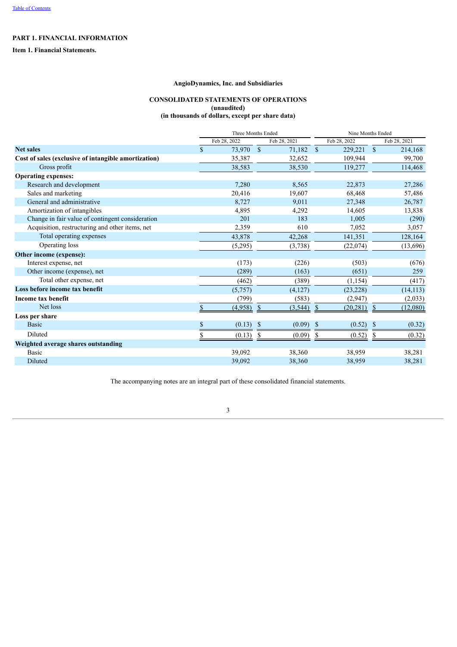## **PART 1. FINANCIAL INFORMATION**

<span id="page-3-1"></span><span id="page-3-0"></span>**Item 1. Financial Statements.**

## **AngioDynamics, Inc. and Subsidiaries**

## **CONSOLIDATED STATEMENTS OF OPERATIONS**

**(unaudited)**

**(in thousands of dollars, except per share data)**

|                                                      |              | Three Months Ended |              |              |               |              | Nine Months Ended |              |  |  |  |
|------------------------------------------------------|--------------|--------------------|--------------|--------------|---------------|--------------|-------------------|--------------|--|--|--|
|                                                      |              | Feb 28, 2022       |              | Feb 28, 2021 |               | Feb 28, 2022 |                   | Feb 28, 2021 |  |  |  |
| <b>Net sales</b>                                     | $\mathbb{S}$ | 73,970             | $\mathbf{s}$ | 71,182       | $\mathbf{s}$  | 229,221      | $\mathbf S$       | 214,168      |  |  |  |
| Cost of sales (exclusive of intangible amortization) |              | 35,387             |              | 32,652       |               | 109,944      |                   | 99,700       |  |  |  |
| Gross profit                                         |              | 38,583             |              | 38,530       |               | 119,277      |                   | 114,468      |  |  |  |
| <b>Operating expenses:</b>                           |              |                    |              |              |               |              |                   |              |  |  |  |
| Research and development                             |              | 7,280              |              | 8,565        |               | 22,873       |                   | 27,286       |  |  |  |
| Sales and marketing                                  |              | 20,416             |              | 19,607       |               | 68,468       |                   | 57,486       |  |  |  |
| General and administrative                           |              | 8,727              |              | 9,011        |               | 27,348       |                   | 26,787       |  |  |  |
| Amortization of intangibles                          |              | 4,895              |              | 4,292        |               | 14,605       |                   | 13,838       |  |  |  |
| Change in fair value of contingent consideration     |              | 201                |              | 183          |               | 1,005        |                   | (290)        |  |  |  |
| Acquisition, restructuring and other items, net      |              | 2,359              |              | 610          |               | 7,052        |                   | 3,057        |  |  |  |
| Total operating expenses                             |              | 43,878             |              | 42,268       |               | 141,351      |                   | 128,164      |  |  |  |
| Operating loss                                       |              | (5,295)            |              | (3,738)      |               | (22,074)     |                   | (13,696)     |  |  |  |
| Other income (expense):                              |              |                    |              |              |               |              |                   |              |  |  |  |
| Interest expense, net                                |              | (173)              |              | (226)        |               | (503)        |                   | (676)        |  |  |  |
| Other income (expense), net                          |              | (289)              |              | (163)        |               | (651)        |                   | 259          |  |  |  |
| Total other expense, net                             |              | (462)              |              | (389)        |               | (1, 154)     |                   | (417)        |  |  |  |
| Loss before income tax benefit                       |              | (5,757)            |              | (4,127)      |               | (23, 228)    |                   | (14, 113)    |  |  |  |
| Income tax benefit                                   |              | (799)              |              | (583)        |               | (2,947)      |                   | (2,033)      |  |  |  |
| Net loss                                             | \$           | (4,958)            | $\mathbb{S}$ | (3, 544)     | <sup>\$</sup> | (20, 281)    | <sup>\$</sup>     | (12,080)     |  |  |  |
| Loss per share                                       |              |                    |              |              |               |              |                   |              |  |  |  |
| <b>Basic</b>                                         | \$           | (0.13)             |              | (0.09)       | -\$           | (0.52)       | -S                | (0.32)       |  |  |  |
| Diluted                                              |              | (0.13)             |              | (0.09)       |               | (0.52)       |                   | (0.32)       |  |  |  |
| Weighted average shares outstanding                  |              |                    |              |              |               |              |                   |              |  |  |  |
| Basic                                                |              | 39,092             |              | 38,360       |               | 38,959       |                   | 38,281       |  |  |  |
| Diluted                                              |              | 39,092             |              | 38,360       |               | 38,959       |                   | 38,281       |  |  |  |
|                                                      |              |                    |              |              |               |              |                   |              |  |  |  |

<span id="page-3-2"></span>The accompanying notes are an integral part of these consolidated financial statements.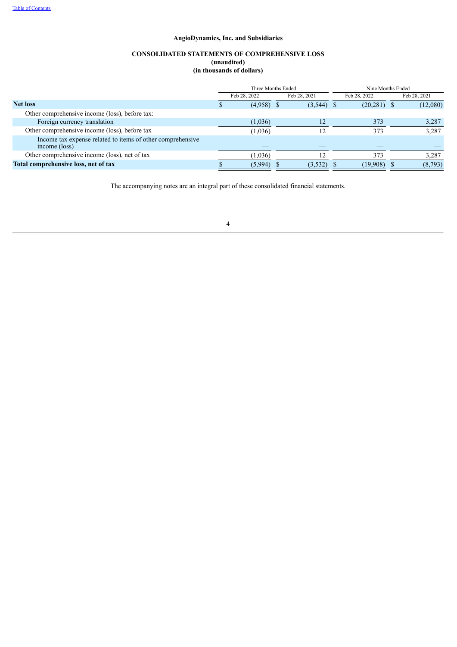## **CONSOLIDATED STATEMENTS OF COMPREHENSIVE LOSS (unaudited) (in thousands of dollars)**

|                                                                             |  | Three Months Ended |              |                | Nine Months Ended |              |  |  |
|-----------------------------------------------------------------------------|--|--------------------|--------------|----------------|-------------------|--------------|--|--|
|                                                                             |  | Feb 28, 2022       | Feb 28, 2021 | Feb 28, 2022   |                   | Feb 28, 2021 |  |  |
| <b>Net loss</b>                                                             |  | (4.958)            | $(3,544)$ \$ | $(20, 281)$ \$ |                   | (12,080)     |  |  |
| Other comprehensive income (loss), before tax:                              |  |                    |              |                |                   |              |  |  |
| Foreign currency translation                                                |  | (1,036)            | 12           | 373            |                   | 3,287        |  |  |
| Other comprehensive income (loss), before tax                               |  | (1,036)            |              | 373            |                   | 3,287        |  |  |
| Income tax expense related to items of other comprehensive<br>income (loss) |  |                    |              |                |                   |              |  |  |
| Other comprehensive income (loss), net of tax                               |  | (1,036)            |              | 373            |                   | 3,287        |  |  |
| Total comprehensive loss, net of tax                                        |  | (5,994)            | (3,532)      | (19,908)       |                   | (8,793)      |  |  |

<span id="page-4-0"></span>The accompanying notes are an integral part of these consolidated financial statements.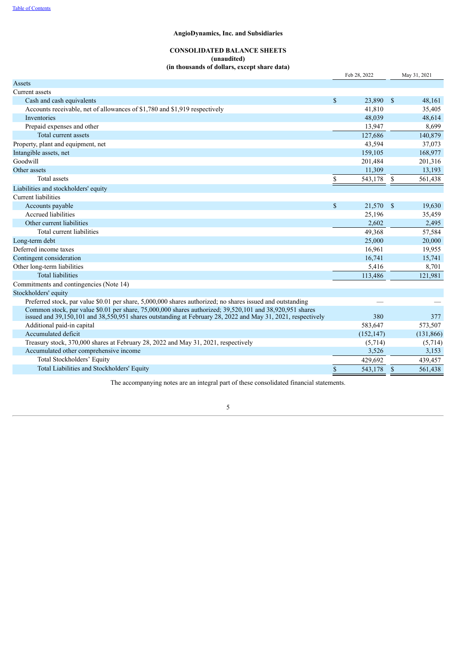## **CONSOLIDATED BALANCE SHEETS (unaudited)**

**(in thousands of dollars, except share data)**

|                                                                                                                                                                                                                             |              | Feb 28, 2022 |              | May 31, 2021 |
|-----------------------------------------------------------------------------------------------------------------------------------------------------------------------------------------------------------------------------|--------------|--------------|--------------|--------------|
| Assets                                                                                                                                                                                                                      |              |              |              |              |
| Current assets                                                                                                                                                                                                              |              |              |              |              |
| Cash and cash equivalents                                                                                                                                                                                                   | $\mathbb{S}$ | 23,890 \$    |              | 48,161       |
| Accounts receivable, net of allowances of \$1,780 and \$1,919 respectively                                                                                                                                                  |              | 41,810       |              | 35,405       |
| Inventories                                                                                                                                                                                                                 |              | 48,039       |              | 48,614       |
| Prepaid expenses and other                                                                                                                                                                                                  |              | 13,947       |              | 8,699        |
| Total current assets                                                                                                                                                                                                        |              | 127,686      |              | 140,879      |
| Property, plant and equipment, net                                                                                                                                                                                          |              | 43,594       |              | 37,073       |
| Intangible assets, net                                                                                                                                                                                                      |              | 159,105      |              | 168,977      |
| Goodwill                                                                                                                                                                                                                    |              | 201,484      |              | 201,316      |
| Other assets                                                                                                                                                                                                                |              | 11,309       |              | 13,193       |
| Total assets                                                                                                                                                                                                                | \$           | 543,178      | -S           | 561,438      |
| Liabilities and stockholders' equity                                                                                                                                                                                        |              |              |              |              |
| <b>Current liabilities</b>                                                                                                                                                                                                  |              |              |              |              |
| Accounts payable                                                                                                                                                                                                            | $\mathbb{S}$ | 21,570 \$    |              | 19,630       |
| Accrued liabilities                                                                                                                                                                                                         |              | 25,196       |              | 35,459       |
| Other current liabilities                                                                                                                                                                                                   |              | 2,602        |              | 2,495        |
| Total current liabilities                                                                                                                                                                                                   |              | 49,368       |              | 57,584       |
| Long-term debt                                                                                                                                                                                                              |              | 25,000       |              | 20,000       |
| Deferred income taxes                                                                                                                                                                                                       |              | 16,961       |              | 19,955       |
| Contingent consideration                                                                                                                                                                                                    |              | 16,741       |              | 15,741       |
| Other long-term liabilities                                                                                                                                                                                                 |              | 5,416        |              | 8,701        |
| <b>Total liabilities</b>                                                                                                                                                                                                    |              | 113,486      |              | 121,981      |
| Commitments and contingencies (Note 14)                                                                                                                                                                                     |              |              |              |              |
| Stockholders' equity                                                                                                                                                                                                        |              |              |              |              |
| Preferred stock, par value \$0.01 per share, 5,000,000 shares authorized; no shares issued and outstanding                                                                                                                  |              |              |              |              |
| Common stock, par value \$0.01 per share, 75,000,000 shares authorized; 39,520,101 and 38,920,951 shares<br>issued and $39,150,101$ and $38,550,951$ shares outstanding at February 28, 2022 and May 31, 2021, respectively |              | 380          |              | 377          |
| Additional paid-in capital                                                                                                                                                                                                  |              | 583,647      |              | 573,507      |
| Accumulated deficit                                                                                                                                                                                                         |              | (152, 147)   |              | (131, 866)   |
| Treasury stock, 370,000 shares at February 28, 2022 and May 31, 2021, respectively                                                                                                                                          |              | (5,714)      |              | (5,714)      |
| Accumulated other comprehensive income                                                                                                                                                                                      |              | 3,526        |              | 3,153        |
| Total Stockholders' Equity                                                                                                                                                                                                  |              | 429,692      |              | 439,457      |
| Total Liabilities and Stockholders' Equity                                                                                                                                                                                  | \$           | 543,178      | $\mathbb{S}$ | 561,438      |

<span id="page-5-0"></span>The accompanying notes are an integral part of these consolidated financial statements.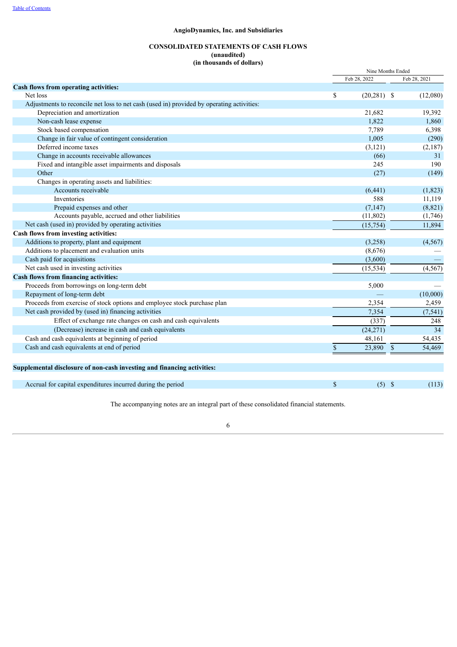## **CONSOLIDATED STATEMENTS OF CASH FLOWS**

**(unaudited)**

## **(in thousands of dollars)**

|                                                                                           |              | Nine Months Ended |              |  |  |  |  |
|-------------------------------------------------------------------------------------------|--------------|-------------------|--------------|--|--|--|--|
|                                                                                           |              | Feb 28, 2022      | Feb 28, 2021 |  |  |  |  |
| Cash flows from operating activities:                                                     |              |                   |              |  |  |  |  |
| Net loss                                                                                  | \$           | $(20, 281)$ \$    | (12,080)     |  |  |  |  |
| Adjustments to reconcile net loss to net cash (used in) provided by operating activities: |              |                   |              |  |  |  |  |
| Depreciation and amortization                                                             |              | 21,682            | 19,392       |  |  |  |  |
| Non-cash lease expense                                                                    |              | 1,822             | 1,860        |  |  |  |  |
| Stock based compensation                                                                  |              | 7,789             | 6,398        |  |  |  |  |
| Change in fair value of contingent consideration                                          |              | 1,005             | (290)        |  |  |  |  |
| Deferred income taxes                                                                     |              | (3, 121)          | (2,187)      |  |  |  |  |
| Change in accounts receivable allowances                                                  |              | (66)              | 31           |  |  |  |  |
| Fixed and intangible asset impairments and disposals                                      |              | 245               | 190          |  |  |  |  |
| Other                                                                                     |              | (27)              | (149)        |  |  |  |  |
| Changes in operating assets and liabilities:                                              |              |                   |              |  |  |  |  |
| Accounts receivable                                                                       |              | (6, 441)          | (1, 823)     |  |  |  |  |
| Inventories                                                                               |              | 588               | 11,119       |  |  |  |  |
| Prepaid expenses and other                                                                |              | (7, 147)          | (8, 821)     |  |  |  |  |
| Accounts payable, accrued and other liabilities                                           |              | (11,802)          | (1,746)      |  |  |  |  |
| Net cash (used in) provided by operating activities                                       |              | (15,754)          | 11,894       |  |  |  |  |
| Cash flows from investing activities:                                                     |              |                   |              |  |  |  |  |
| Additions to property, plant and equipment                                                |              | (3,258)           | (4, 567)     |  |  |  |  |
| Additions to placement and evaluation units                                               |              | (8,676)           |              |  |  |  |  |
| Cash paid for acquisitions                                                                |              | (3,600)           |              |  |  |  |  |
| Net cash used in investing activities                                                     |              | (15, 534)         | (4, 567)     |  |  |  |  |
| <b>Cash flows from financing activities:</b>                                              |              |                   |              |  |  |  |  |
| Proceeds from borrowings on long-term debt                                                |              | 5,000             |              |  |  |  |  |
| Repayment of long-term debt                                                               |              |                   | (10,000)     |  |  |  |  |
| Proceeds from exercise of stock options and employee stock purchase plan                  |              | 2,354             | 2,459        |  |  |  |  |
| Net cash provided by (used in) financing activities                                       |              | 7,354             | (7, 541)     |  |  |  |  |
| Effect of exchange rate changes on cash and cash equivalents                              |              | (337)             | 248          |  |  |  |  |
| (Decrease) increase in cash and cash equivalents                                          |              | (24, 271)         | 34           |  |  |  |  |
| Cash and cash equivalents at beginning of period                                          |              | 48,161            | 54,435       |  |  |  |  |
| Cash and cash equivalents at end of period                                                | \$           | 23,890 \$         | 54,469       |  |  |  |  |
|                                                                                           |              |                   |              |  |  |  |  |
| Supplemental disclosure of non-cash investing and financing activities:                   |              |                   |              |  |  |  |  |
|                                                                                           |              |                   |              |  |  |  |  |
| Accrual for capital expenditures incurred during the period                               | $\mathbb{S}$ | $(5)$ \$          | (113)        |  |  |  |  |

<span id="page-6-0"></span>The accompanying notes are an integral part of these consolidated financial statements.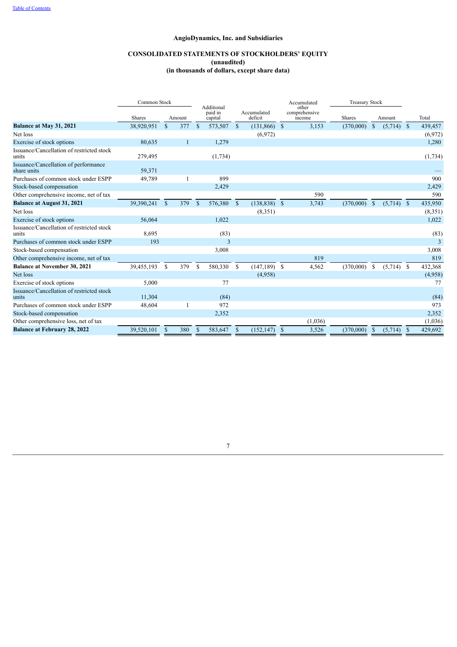## **CONSOLIDATED STATEMENTS OF STOCKHOLDERS' EQUITY**

**(unaudited)**

**(in thousands of dollars, except share data)**

|                                                     |               | Common Stock  |        |              |                                  |               |                        |    | Accumulated                      |               | <b>Treasury Stock</b> |               |              |     |         |
|-----------------------------------------------------|---------------|---------------|--------|--------------|----------------------------------|---------------|------------------------|----|----------------------------------|---------------|-----------------------|---------------|--------------|-----|---------|
|                                                     | <b>Shares</b> |               | Amount |              | Additional<br>paid in<br>capital |               | Accumulated<br>deficit |    | other<br>comprehensive<br>income | <b>Shares</b> |                       |               | Amount       |     | Total   |
| Balance at May 31, 2021                             | 38,920,951    | $\mathbb{S}$  | 377    | $\mathbf{s}$ | 573,507                          | $\mathbb{S}$  | $(131,866)$ \$         |    | 3,153                            | (370,000)     |                       | $\mathcal{S}$ | $(5,714)$ \$ |     | 439,457 |
| Net loss                                            |               |               |        |              |                                  |               | (6,972)                |    |                                  |               |                       |               |              |     | (6,972) |
| Exercise of stock options                           | 80,635        |               |        |              | 1,279                            |               |                        |    |                                  |               |                       |               |              |     | 1,280   |
| Issuance/Cancellation of restricted stock<br>units  | 279,495       |               |        |              | (1,734)                          |               |                        |    |                                  |               |                       |               |              |     | (1,734) |
| Issuance/Cancellation of performance<br>share units | 59,371        |               |        |              |                                  |               |                        |    |                                  |               |                       |               |              |     |         |
| Purchases of common stock under ESPP                | 49,789        |               |        |              | 899                              |               |                        |    |                                  |               |                       |               |              |     | 900     |
| Stock-based compensation                            |               |               |        |              | 2,429                            |               |                        |    |                                  |               |                       |               |              |     | 2,429   |
| Other comprehensive income, net of tax              |               |               |        |              |                                  |               |                        |    | 590                              |               |                       |               |              |     | 590     |
| <b>Balance at August 31, 2021</b>                   | 39,390,241    | $\mathbb{S}$  | 379    | \$           | 576,380                          | $\mathcal{S}$ | $(138, 838)$ \$        |    | 3,743                            | (370,000)     |                       | $\mathbb{S}$  | $(5,714)$ \$ |     | 435,950 |
| Net loss                                            |               |               |        |              |                                  |               | (8,351)                |    |                                  |               |                       |               |              |     | (8,351) |
| Exercise of stock options                           | 56,064        |               |        |              | 1,022                            |               |                        |    |                                  |               |                       |               |              |     | 1,022   |
| Issuance/Cancellation of restricted stock<br>units  | 8,695         |               |        |              | (83)                             |               |                        |    |                                  |               |                       |               |              |     | (83)    |
| Purchases of common stock under ESPP                | 193           |               |        |              | 3                                |               |                        |    |                                  |               |                       |               |              |     | 3       |
| Stock-based compensation                            |               |               |        |              | 3,008                            |               |                        |    |                                  |               |                       |               |              |     | 3,008   |
| Other comprehensive income, net of tax              |               |               |        |              |                                  |               |                        |    | 819                              |               |                       |               |              |     | 819     |
| <b>Balance at November 30, 2021</b>                 | 39,455,193    | <sup>\$</sup> | 379    | -S           | 580,330                          | \$            | $(147, 189)$ \$        |    | 4,562                            | (370,000)     |                       | <b>S</b>      | $(5,714)$ \$ |     | 432,368 |
| Net loss                                            |               |               |        |              |                                  |               | (4,958)                |    |                                  |               |                       |               |              |     | (4,958) |
| Exercise of stock options                           | 5,000         |               |        |              | 77                               |               |                        |    |                                  |               |                       |               |              |     | 77      |
| Issuance/Cancellation of restricted stock<br>units  | 11,304        |               |        |              | (84)                             |               |                        |    |                                  |               |                       |               |              |     | (84)    |
| Purchases of common stock under ESPP                | 48,604        |               |        |              | 972                              |               |                        |    |                                  |               |                       |               |              |     | 973     |
| Stock-based compensation                            |               |               |        |              | 2,352                            |               |                        |    |                                  |               |                       |               |              |     | 2,352   |
| Other comprehensive loss, net of tax                |               |               |        |              |                                  |               |                        |    | (1,036)                          |               |                       |               |              |     | (1,036) |
| <b>Balance at February 28, 2022</b>                 | 39,520,101    | \$            | 380    | S            | 583,647                          | \$            | (152, 147)             | -S | 3,526                            | (370,000)     |                       | <sup>\$</sup> | (5,714)      | -\$ | 429,692 |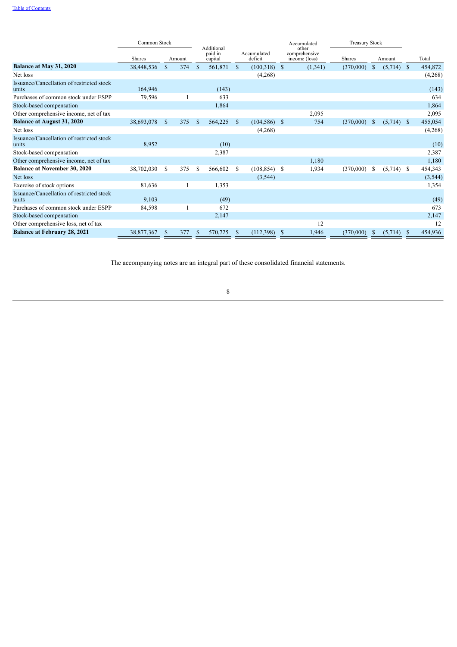|                                                    |               | Common Stock |        |               |                                  |               |                        |   | Accumulated                             | <b>Treasury Stock</b> |               |              |               |          |
|----------------------------------------------------|---------------|--------------|--------|---------------|----------------------------------|---------------|------------------------|---|-----------------------------------------|-----------------------|---------------|--------------|---------------|----------|
|                                                    | <b>Shares</b> |              | Amount |               | Additional<br>paid in<br>capital |               | Accumulated<br>deficit |   | other<br>comprehensive<br>income (loss) | Shares                |               | Amount       |               | Total    |
| Balance at May 31, 2020                            | 38,448,536    | $\mathbf S$  | 374    | <sup>\$</sup> | 561,871                          | <sup>\$</sup> | $(100,318)$ \$         |   | (1,341)                                 | (370,000)             | <sup>\$</sup> | $(5,714)$ \$ |               | 454,872  |
| Net loss                                           |               |              |        |               |                                  |               | (4,268)                |   |                                         |                       |               |              |               | (4,268)  |
| Issuance/Cancellation of restricted stock<br>units | 164,946       |              |        |               | (143)                            |               |                        |   |                                         |                       |               |              |               | (143)    |
| Purchases of common stock under ESPP               | 79,596        |              |        |               | 633                              |               |                        |   |                                         |                       |               |              |               | 634      |
| Stock-based compensation                           |               |              |        |               | 1,864                            |               |                        |   |                                         |                       |               |              |               | 1,864    |
| Other comprehensive income, net of tax             |               |              |        |               |                                  |               |                        |   | 2,095                                   |                       |               |              |               | 2,095    |
| <b>Balance at August 31, 2020</b>                  | 38,693,078    | $\mathbf S$  | 375    | <sup>\$</sup> | 564,225                          | <sup>\$</sup> | $(104, 586)$ \$        |   | 754                                     | (370,000)             | <sup>\$</sup> | $(5,714)$ \$ |               | 455,054  |
| Net loss                                           |               |              |        |               |                                  |               | (4,268)                |   |                                         |                       |               |              |               | (4,268)  |
| Issuance/Cancellation of restricted stock<br>units | 8,952         |              |        |               | (10)                             |               |                        |   |                                         |                       |               |              |               | (10)     |
| Stock-based compensation                           |               |              |        |               | 2,387                            |               |                        |   |                                         |                       |               |              |               | 2,387    |
| Other comprehensive income, net of tax             |               |              |        |               |                                  |               |                        |   | 1,180                                   |                       |               |              |               | 1,180    |
| <b>Balance at November 30, 2020</b>                | 38,702,030    | S            | 375    | <sup>\$</sup> | 566,602                          | \$            | $(108, 854)$ \$        |   | 1,934                                   | (370,000)             | <sup>\$</sup> | (5,714)      | -S            | 454,343  |
| Net loss                                           |               |              |        |               |                                  |               | (3, 544)               |   |                                         |                       |               |              |               | (3, 544) |
| Exercise of stock options                          | 81,636        |              |        |               | 1,353                            |               |                        |   |                                         |                       |               |              |               | 1,354    |
| Issuance/Cancellation of restricted stock<br>units | 9,103         |              |        |               | (49)                             |               |                        |   |                                         |                       |               |              |               | (49)     |
| Purchases of common stock under ESPP               | 84,598        |              |        |               | 672                              |               |                        |   |                                         |                       |               |              |               | 673      |
| Stock-based compensation                           |               |              |        |               | 2,147                            |               |                        |   |                                         |                       |               |              |               | 2,147    |
| Other comprehensive loss, net of tax               |               |              |        |               |                                  |               |                        |   | 12                                      |                       |               |              |               | 12       |
| <b>Balance at February 28, 2021</b>                | 38,877,367    |              | 377    |               | 570,725                          |               | (112, 398)             | S | 1,946                                   | (370,000)             | S             | (5,714)      | <sup>\$</sup> | 454,936  |

<span id="page-8-0"></span>The accompanying notes are an integral part of these consolidated financial statements.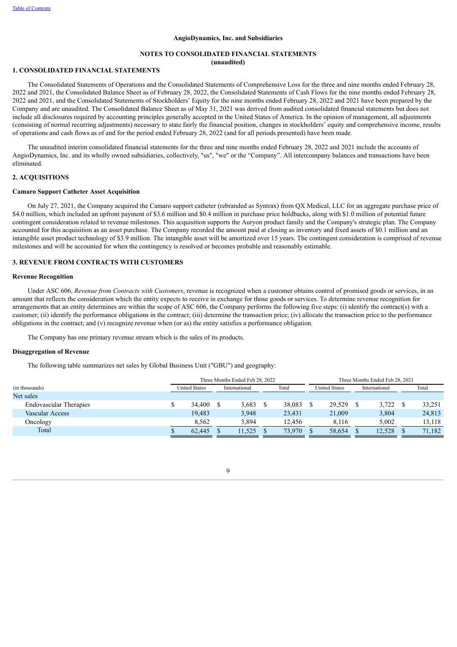## **NOTES TO CONSOLIDATED FINANCIAL STATEMENTS (unaudited)**

## **1. CONSOLIDATED FINANCIAL STATEMENTS**

The Consolidated Statements of Operations and the Consolidated Statements of Comprehensive Loss for the three and nine months ended February 28, 2022 and 2021, the Consolidated Balance Sheet as of February 28, 2022, the Consolidated Statements of Cash Flows for the nine months ended February 28, 2022 and 2021, and the Consolidated Statements of Stockholders' Equity for the nine months ended February 28, 2022 and 2021 have been prepared by the Company and are unaudited. The Consolidated Balance Sheet as of May 31, 2021 was derived from audited consolidated financial statements but does not include all disclosures required by accounting principles generally accepted in the United States of America. In the opinion of management, all adjustments (consisting of normal recurring adjustments) necessary to state fairly the financial position, changes in stockholders' equity and comprehensive income, results of operations and cash flows as of and for the period ended February 28, 2022 (and for all periods presented) have been made.

The unaudited interim consolidated financial statements for the three and nine months ended February 28, 2022 and 2021 include the accounts of AngioDynamics, Inc. and its wholly owned subsidiaries, collectively, "us", "we" or the "Company". All intercompany balances and transactions have been eliminated.

## **2. ACQUISITIONS**

## **Camaro Support Catheter Asset Acquisition**

On July 27, 2021, the Company acquired the Camaro support catheter (rebranded as Syntrax) from QX Medical, LLC for an aggregate purchase price of \$4.0 million, which included an upfront payment of \$3.6 million and \$0.4 million in purchase price holdbacks, along with \$1.0 million of potential future contingent consideration related to revenue milestones. This acquisition supports the Auryon product family and the Company's strategic plan. The Company accounted for this acquisition as an asset purchase. The Company recorded the amount paid at closing as inventory and fixed assets of \$0.1 million and an intangible asset product technology of \$3.9 million. The intangible asset will be amortized over 15 years. The contingent consideration is comprised of revenue milestones and will be accounted for when the contingency is resolved or becomes probable and reasonably estimable.

#### **3. REVENUE FROM CONTRACTS WITH CUSTOMERS**

#### **Revenue Recognition**

Under ASC 606, *Revenue from Contracts with Customers*, revenue is recognized when a customer obtains control of promised goods or services, in an amount that reflects the consideration which the entity expects to receive in exchange for those goods or services. To determine revenue recognition for arrangements that an entity determines are within the scope of ASC 606, the Company performs the following five steps: (i) identify the contract(s) with a customer; (ii) identify the performance obligations in the contract; (iii) determine the transaction price; (iv) allocate the transaction price to the performance obligations in the contract; and (v) recognize revenue when (or as) the entity satisfies a performance obligation.

The Company has one primary revenue stream which is the sales of its products.

## **Disaggregation of Revenue**

The following table summarizes net sales by Global Business Unit ("GBU") and geography:

|                               |                      |  | Three Months Ended Feb 28, 2022 |  |        |  |                      |               | Three Months Ended Feb 28, 2021 |  |        |
|-------------------------------|----------------------|--|---------------------------------|--|--------|--|----------------------|---------------|---------------------------------|--|--------|
| (in thousands)                | <b>United States</b> |  | International                   |  | Total  |  | <b>United States</b> | International |                                 |  | Total  |
| Net sales                     |                      |  |                                 |  |        |  |                      |               |                                 |  |        |
| <b>Endovascular Therapies</b> | 34.400               |  | 3,683                           |  | 38,083 |  | 29.529               |               | 3.722                           |  | 33,251 |
| Vascular Access               | 19.483               |  | 3,948                           |  | 23,431 |  | 21,009               |               | 3,804                           |  | 24,813 |
| Oncology                      | 8.562                |  | 3.894                           |  | 12.456 |  | 8.116                |               | 5.002                           |  | 13,118 |
| Total                         | 62.445               |  | 11.525                          |  | 73.970 |  | 58.654               |               | 12.528                          |  | 71,182 |
|                               |                      |  |                                 |  |        |  |                      |               |                                 |  |        |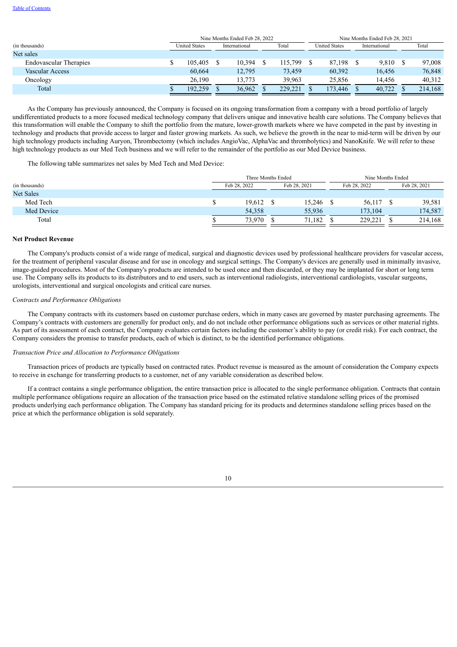|                               |                      |         |  | Nine Months Ended Feb 28, 2022 |         |                      |         | Nine Months Ended Feb 28, 2021 |        |  |         |
|-------------------------------|----------------------|---------|--|--------------------------------|---------|----------------------|---------|--------------------------------|--------|--|---------|
| (in thousands)                | <b>United States</b> |         |  | International                  | Total   | <b>United States</b> |         | International                  |        |  | Total   |
| Net sales                     |                      |         |  |                                |         |                      |         |                                |        |  |         |
| <b>Endovascular Therapies</b> |                      | 105.405 |  | 10.394                         | 115.799 |                      | 87,198  |                                | 9,810  |  | 97,008  |
| Vascular Access               |                      | 60,664  |  | 12.795                         | 73.459  |                      | 60,392  |                                | 16,456 |  | 76,848  |
| Oncology                      |                      | 26,190  |  | 13.773                         | 39.963  |                      | 25.856  |                                | 14.456 |  | 40,312  |
| Total                         |                      | 192.259 |  | 36,962                         | 229,221 |                      | 173.446 |                                | 40,722 |  | 214,168 |

As the Company has previously announced, the Company is focused on its ongoing transformation from a company with a broad portfolio of largely undifferentiated products to a more focused medical technology company that delivers unique and innovative health care solutions. The Company believes that this transformation will enable the Company to shift the portfolio from the mature, lower-growth markets where we have competed in the past by investing in technology and products that provide access to larger and faster growing markets. As such, we believe the growth in the near to mid-term will be driven by our high technology products including Auryon, Thrombectomy (which includes AngioVac, AlphaVac and thrombolytics) and NanoKnife. We will refer to these high technology products as our Med Tech business and we will refer to the remainder of the portfolio as our Med Device business.

The following table summarizes net sales by Med Tech and Med Device:

|                  | Three Months Ended           |  |        |  |              | Nine Months Ended |              |  |  |  |
|------------------|------------------------------|--|--------|--|--------------|-------------------|--------------|--|--|--|
| (in thousands)   | Feb 28, 2022<br>Feb 28, 2021 |  |        |  | Feb 28, 2022 |                   | Feb 28, 2021 |  |  |  |
| <b>Net Sales</b> |                              |  |        |  |              |                   |              |  |  |  |
| Med Tech         | 19,612                       |  | 15,246 |  | 56,117       |                   | 39,581       |  |  |  |
| Med Device       | 54,358                       |  | 55,936 |  | 173.104      |                   | 174,587      |  |  |  |
| Total            | 73.970                       |  | 71.182 |  | 229,221      |                   | 214,168      |  |  |  |

#### **Net Product Revenue**

The Company's products consist of a wide range of medical, surgical and diagnostic devices used by professional healthcare providers for vascular access, for the treatment of peripheral vascular disease and for use in oncology and surgical settings. The Company's devices are generally used in minimally invasive, image-guided procedures. Most of the Company's products are intended to be used once and then discarded, or they may be implanted for short or long term use. The Company sells its products to its distributors and to end users, such as interventional radiologists, interventional cardiologists, vascular surgeons, urologists, interventional and surgical oncologists and critical care nurses.

## *Contracts and Performance Obligations*

The Company contracts with its customers based on customer purchase orders, which in many cases are governed by master purchasing agreements. The Company's contracts with customers are generally for product only, and do not include other performance obligations such as services or other material rights. As part of its assessment of each contract, the Company evaluates certain factors including the customer's ability to pay (or credit risk). For each contract, the Company considers the promise to transfer products, each of which is distinct, to be the identified performance obligations.

#### *Transaction Price and Allocation to Performance Obligations*

Transaction prices of products are typically based on contracted rates. Product revenue is measured as the amount of consideration the Company expects to receive in exchange for transferring products to a customer, net of any variable consideration as described below.

If a contract contains a single performance obligation, the entire transaction price is allocated to the single performance obligation. Contracts that contain multiple performance obligations require an allocation of the transaction price based on the estimated relative standalone selling prices of the promised products underlying each performance obligation. The Company has standard pricing for its products and determines standalone selling prices based on the price at which the performance obligation is sold separately.

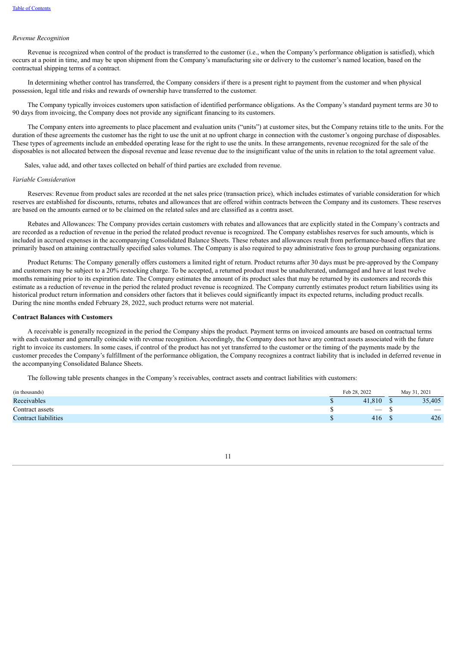#### *Revenue Recognition*

Revenue is recognized when control of the product is transferred to the customer (i.e., when the Company's performance obligation is satisfied), which occurs at a point in time, and may be upon shipment from the Company's manufacturing site or delivery to the customer's named location, based on the contractual shipping terms of a contract.

In determining whether control has transferred, the Company considers if there is a present right to payment from the customer and when physical possession, legal title and risks and rewards of ownership have transferred to the customer.

The Company typically invoices customers upon satisfaction of identified performance obligations. As the Company's standard payment terms are 30 to 90 days from invoicing, the Company does not provide any significant financing to its customers.

The Company enters into agreements to place placement and evaluation units ("units") at customer sites, but the Company retains title to the units. For the duration of these agreements the customer has the right to use the unit at no upfront charge in connection with the customer's ongoing purchase of disposables. These types of agreements include an embedded operating lease for the right to use the units. In these arrangements, revenue recognized for the sale of the disposables is not allocated between the disposal revenue and lease revenue due to the insignificant value of the units in relation to the total agreement value.

Sales, value add, and other taxes collected on behalf of third parties are excluded from revenue.

#### *Variable Consideration*

Reserves: Revenue from product sales are recorded at the net sales price (transaction price), which includes estimates of variable consideration for which reserves are established for discounts, returns, rebates and allowances that are offered within contracts between the Company and its customers. These reserves are based on the amounts earned or to be claimed on the related sales and are classified as a contra asset.

Rebates and Allowances: The Company provides certain customers with rebates and allowances that are explicitly stated in the Company's contracts and are recorded as a reduction of revenue in the period the related product revenue is recognized. The Company establishes reserves for such amounts, which is included in accrued expenses in the accompanying Consolidated Balance Sheets. These rebates and allowances result from performance-based offers that are primarily based on attaining contractually specified sales volumes. The Company is also required to pay administrative fees to group purchasing organizations.

Product Returns: The Company generally offers customers a limited right of return. Product returns after 30 days must be pre-approved by the Company and customers may be subject to a 20% restocking charge. To be accepted, a returned product must be unadulterated, undamaged and have at least twelve months remaining prior to its expiration date. The Company estimates the amount of its product sales that may be returned by its customers and records this estimate as a reduction of revenue in the period the related product revenue is recognized. The Company currently estimates product return liabilities using its historical product return information and considers other factors that it believes could significantly impact its expected returns, including product recalls. During the nine months ended February 28, 2022, such product returns were not material.

## **Contract Balances with Customers**

A receivable is generally recognized in the period the Company ships the product. Payment terms on invoiced amounts are based on contractual terms with each customer and generally coincide with revenue recognition. Accordingly, the Company does not have any contract assets associated with the future right to invoice its customers. In some cases, if control of the product has not yet transferred to the customer or the timing of the payments made by the customer precedes the Company's fulfillment of the performance obligation, the Company recognizes a contract liability that is included in deferred revenue in the accompanying Consolidated Balance Sheets.

The following table presents changes in the Company's receivables, contract assets and contract liabilities with customers:

| (in thousands)              | Feb 28, 2022             | May 31, 2021             |
|-----------------------------|--------------------------|--------------------------|
| Receivables                 | 41.810                   | 35,405                   |
| Contract assets             | $\overline{\phantom{0}}$ | $\overline{\phantom{a}}$ |
| <b>Contract liabilities</b> | 416                      | 426                      |

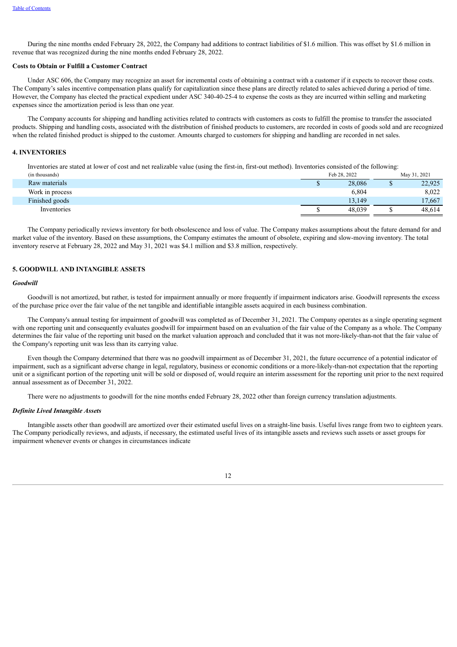During the nine months ended February 28, 2022, the Company had additions to contract liabilities of \$1.6 million. This was offset by \$1.6 million in revenue that was recognized during the nine months ended February 28, 2022.

#### **Costs to Obtain or Fulfill a Customer Contract**

Under ASC 606, the Company may recognize an asset for incremental costs of obtaining a contract with a customer if it expects to recover those costs. The Company's sales incentive compensation plans qualify for capitalization since these plans are directly related to sales achieved during a period of time. However, the Company has elected the practical expedient under ASC 340-40-25-4 to expense the costs as they are incurred within selling and marketing expenses since the amortization period is less than one year.

The Company accounts for shipping and handling activities related to contracts with customers as costs to fulfill the promise to transfer the associated products. Shipping and handling costs, associated with the distribution of finished products to customers, are recorded in costs of goods sold and are recognized when the related finished product is shipped to the customer. Amounts charged to customers for shipping and handling are recorded in net sales.

## **4. INVENTORIES**

Inventories are stated at lower of cost and net realizable value (using the first-in, first-out method). Inventories consisted of the following:

| (in thousands)  | Feb 28, 2022 |  | May 31, 2021 |  |  |
|-----------------|--------------|--|--------------|--|--|
| Raw materials   | 28,086       |  | 22,925       |  |  |
| Work in process | 6,804        |  | 8,022        |  |  |
| Finished goods  | 13.149       |  | 17.667       |  |  |
| Inventories     | 48.039       |  | 48.614       |  |  |

The Company periodically reviews inventory for both obsolescence and loss of value. The Company makes assumptions about the future demand for and market value of the inventory. Based on these assumptions, the Company estimates the amount of obsolete, expiring and slow-moving inventory. The total inventory reserve at February 28, 2022 and May 31, 2021 was \$4.1 million and \$3.8 million, respectively.

## **5. GOODWILL AND INTANGIBLE ASSETS**

## *Goodwill*

Goodwill is not amortized, but rather, is tested for impairment annually or more frequently if impairment indicators arise. Goodwill represents the excess of the purchase price over the fair value of the net tangible and identifiable intangible assets acquired in each business combination.

The Company's annual testing for impairment of goodwill was completed as of December 31, 2021. The Company operates as a single operating segment with one reporting unit and consequently evaluates goodwill for impairment based on an evaluation of the fair value of the Company as a whole. The Company determines the fair value of the reporting unit based on the market valuation approach and concluded that it was not more-likely-than-not that the fair value of the Company's reporting unit was less than its carrying value.

Even though the Company determined that there was no goodwill impairment as of December 31, 2021, the future occurrence of a potential indicator of impairment, such as a significant adverse change in legal, regulatory, business or economic conditions or a more-likely-than-not expectation that the reporting unit or a significant portion of the reporting unit will be sold or disposed of, would require an interim assessment for the reporting unit prior to the next required annual assessment as of December 31, 2022.

There were no adjustments to goodwill for the nine months ended February 28, 2022 other than foreign currency translation adjustments.

#### *Definite Lived Intangible Assets*

Intangible assets other than goodwill are amortized over their estimated useful lives on a straight-line basis. Useful lives range from two to eighteen years. The Company periodically reviews, and adjusts, if necessary, the estimated useful lives of its intangible assets and reviews such assets or asset groups for impairment whenever events or changes in circumstances indicate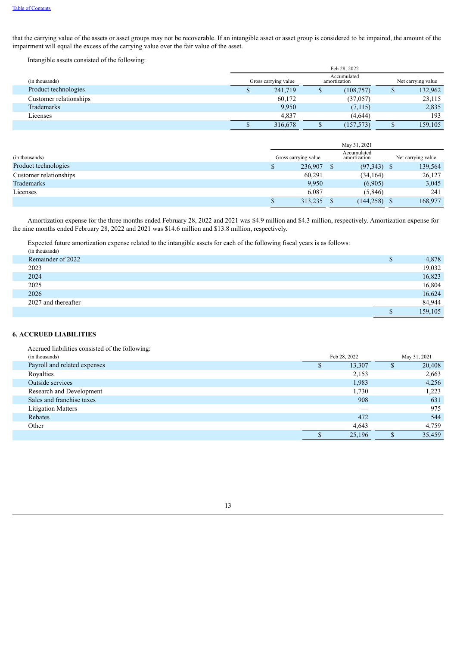that the carrying value of the assets or asset groups may not be recoverable. If an intangible asset or asset group is considered to be impaired, the amount of the impairment will equal the excess of the carrying value over the fair value of the asset.

Intangible assets consisted of the following:

|                        | Feb 28, 2022                                                              |         |  |            |   |         |  |  |
|------------------------|---------------------------------------------------------------------------|---------|--|------------|---|---------|--|--|
| (in thousands)         | Accumulated<br>Gross carrying value<br>Net carrying value<br>amortization |         |  |            |   |         |  |  |
| Product technologies   | Φ                                                                         | 241,719 |  | (108, 757) | Φ | 132,962 |  |  |
| Customer relationships |                                                                           | 60,172  |  | (37, 057)  |   | 23,115  |  |  |
| Trademarks             |                                                                           | 9,950   |  | (7,115)    |   | 2,835   |  |  |
| Licenses               |                                                                           | 4,837   |  | (4,644)    |   | 193     |  |  |
|                        |                                                                           | 316,678 |  | (157, 573) |   | 159,105 |  |  |

|                        | May 31, 2021         |  |                             |  |                    |
|------------------------|----------------------|--|-----------------------------|--|--------------------|
| (in thousands)         | Gross carrying value |  | Accumulated<br>amortization |  | Net carrying value |
| Product technologies   | 236,907              |  | $(97,343)$ \$               |  | 139,564            |
| Customer relationships | 60,291               |  | (34, 164)                   |  | 26,127             |
| Trademarks             | 9,950                |  | (6,905)                     |  | 3,045              |
| Licenses               | 6.087                |  | (5, 846)                    |  | 241                |
|                        | 313,235              |  | $(144, 258)$ \$             |  | 168,977            |

Amortization expense for the three months ended February 28, 2022 and 2021 was \$4.9 million and \$4.3 million, respectively. Amortization expense for the nine months ended February 28, 2022 and 2021 was \$14.6 million and \$13.8 million, respectively.

Expected future amortization expense related to the intangible assets for each of the following fiscal years is as follows:

|      | (in thousands)      |   |         |
|------|---------------------|---|---------|
|      | Remainder of 2022   | P | 4,878   |
| 2023 |                     |   | 19,032  |
| 2024 |                     |   | 16,823  |
| 2025 |                     |   | 16,804  |
| 2026 |                     |   | 16,624  |
|      | 2027 and thereafter |   | 84,944  |
|      |                     |   | 159,105 |

## **6. ACCRUED LIABILITIES**

Accrued liabilities consisted of the following:

| (in thousands)               | Feb 28, 2022 |        |   | May 31, 2021 |  |
|------------------------------|--------------|--------|---|--------------|--|
| Payroll and related expenses |              | 13,307 | D | 20,408       |  |
| Royalties                    |              | 2,153  |   | 2,663        |  |
| Outside services             |              | 1,983  |   | 4,256        |  |
| Research and Development     |              | 1,730  |   | 1,223        |  |
| Sales and franchise taxes    |              | 908    |   | 631          |  |
| <b>Litigation Matters</b>    |              |        |   | 975          |  |
| Rebates                      |              | 472    |   | 544          |  |
| Other                        |              | 4,643  |   | 4,759        |  |
|                              |              | 25,196 |   | 35,459       |  |
|                              |              |        |   |              |  |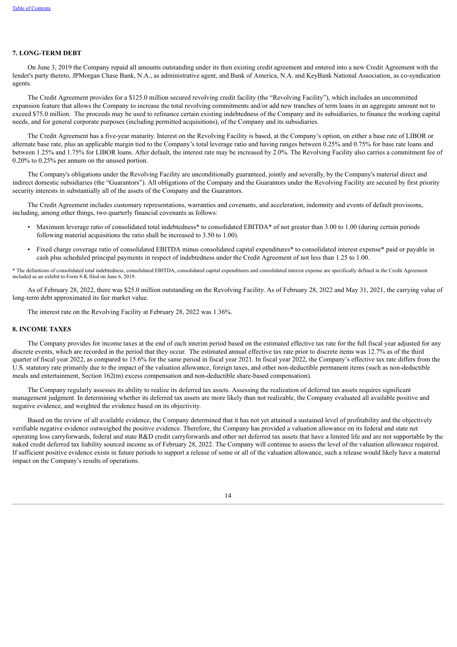## **7. LONG-TERM DEBT**

On June 3, 2019 the Company repaid all amounts outstanding under its then existing credit agreement and entered into a new Credit Agreement with the lender's party thereto, JPMorgan Chase Bank, N.A., as administrative agent, and Bank of America, N.A. and KeyBank National Association, as co-syndication agents.

The Credit Agreement provides for a \$125.0 million secured revolving credit facility (the "Revolving Facility"), which includes an uncommitted expansion feature that allows the Company to increase the total revolving commitments and/or add new tranches of term loans in an aggregate amount not to exceed \$75.0 million. The proceeds may be used to refinance certain existing indebtedness of the Company and its subsidiaries, to finance the working capital needs, and for general corporate purposes (including permitted acquisitions), of the Company and its subsidiaries.

The Credit Agreement has a five-year maturity. Interest on the Revolving Facility is based, at the Company's option, on either a base rate of LIBOR or alternate base rate, plus an applicable margin tied to the Company's total leverage ratio and having ranges between 0.25% and 0.75% for base rate loans and between 1.25% and 1.75% for LIBOR loans. After default, the interest rate may be increased by 2.0%. The Revolving Facility also carries a commitment fee of 0.20% to 0.25% per annum on the unused portion.

The Company's obligations under the Revolving Facility are unconditionally guaranteed, jointly and severally, by the Company's material direct and indirect domestic subsidiaries (the "Guarantors"). All obligations of the Company and the Guarantors under the Revolving Facility are secured by first priority security interests in substantially all of the assets of the Company and the Guarantors.

The Credit Agreement includes customary representations, warranties and covenants, and acceleration, indemnity and events of default provisions, including, among other things, two quarterly financial covenants as follows:

- Maximum leverage ratio of consolidated total indebtedness<sup>\*</sup> to consolidated EBITDA<sup>\*</sup> of not greater than 3.00 to 1.00 (during certain periods following material acquisitions the ratio shall be increased to 3.50 to 1.00).
- Fixed charge coverage ratio of consolidated EBITDA minus consolidated capital expenditures\* to consolidated interest expense\* paid or payable in cash plus scheduled principal payments in respect of indebtedness under the Credit Agreement of not less than 1.25 to 1.00.

\* The definitions of consolidated total indebtedness, consolidated EBITDA, consolidated capital expenditures and consolidated interest expense are specifically defined in the Credit Agreement included as an exhibit to Form 8-K filed on June 6, 2019.

As of February 28, 2022, there was \$25.0 million outstanding on the Revolving Facility. As of February 28, 2022 and May 31, 2021, the carrying value of long-term debt approximated its fair market value.

The interest rate on the Revolving Facility at February 28, 2022 was 1.36%.

## **8. INCOME TAXES**

The Company provides for income taxes at the end of each interim period based on the estimated effective tax rate for the full fiscal year adjusted for any discrete events, which are recorded in the period that they occur. The estimated annual effective tax rate prior to discrete items was 12.7% as of the third quarter of fiscal year 2022, as compared to 15.6% for the same period in fiscal year 2021. In fiscal year 2022, the Company's effective tax rate differs from the U.S. statutory rate primarily due to the impact of the valuation allowance, foreign taxes, and other non-deductible permanent items (such as non-deductible meals and entertainment, Section 162(m) excess compensation and non-deductible share-based compensation).

The Company regularly assesses its ability to realize its deferred tax assets. Assessing the realization of deferred tax assets requires significant management judgment. In determining whether its deferred tax assets are more likely than not realizable, the Company evaluated all available positive and negative evidence, and weighted the evidence based on its objectivity.

Based on the review of all available evidence, the Company determined that it has not yet attained a sustained level of profitability and the objectively verifiable negative evidence outweighed the positive evidence. Therefore, the Company has provided a valuation allowance on its federal and state net operating loss carryforwards, federal and state R&D credit carryforwards and other net deferred tax assets that have a limited life and are not supportable by the naked credit deferred tax liability sourced income as of February 28, 2022. The Company will continue to assess the level of the valuation allowance required. If sufficient positive evidence exists in future periods to support a release of some or all of the valuation allowance, such a release would likely have a material impact on the Company's results of operations.

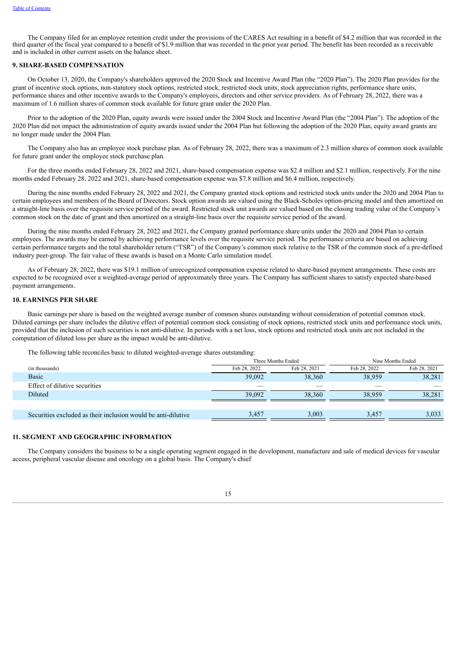The Company filed for an employee retention credit under the provisions of the CARES Act resulting in a benefit of \$4.2 million that was recorded in the third quarter of the fiscal year compared to a benefit of \$1.9 million that was recorded in the prior year period. The benefit has been recorded as a receivable and is included in other current assets on the balance sheet.

## **9. SHARE-BASED COMPENSATION**

On October 13, 2020, the Company's shareholders approved the 2020 Stock and Incentive Award Plan (the "2020 Plan"). The 2020 Plan provides for the grant of incentive stock options, non-statutory stock options, restricted stock, restricted stock units, stock appreciation rights, performance share units, performance shares and other incentive awards to the Company's employees, directors and other service providers. As of February 28, 2022, there was a maximum of 1.6 million shares of common stock available for future grant under the 2020 Plan.

Prior to the adoption of the 2020 Plan, equity awards were issued under the 2004 Stock and Incentive Award Plan (the "2004 Plan"). The adoption of the 2020 Plan did not impact the administration of equity awards issued under the 2004 Plan but following the adoption of the 2020 Plan, equity award grants are no longer made under the 2004 Plan.

The Company also has an employee stock purchase plan. As of February 28, 2022, there was a maximum of 2.3 million shares of common stock available for future grant under the employee stock purchase plan.

For the three months ended February 28, 2022 and 2021, share-based compensation expense was \$2.4 million and \$2.1 million, respectively. For the nine months ended February 28, 2022 and 2021, share-based compensation expense was \$7.8 million and \$6.4 million, respectively.

During the nine months ended February 28, 2022 and 2021, the Company granted stock options and restricted stock units under the 2020 and 2004 Plan to certain employees and members of the Board of Directors. Stock option awards are valued using the Black-Scholes option-pricing model and then amortized on a straight-line basis over the requisite service period of the award. Restricted stock unit awards are valued based on the closing trading value of the Company's common stock on the date of grant and then amortized on a straight-line basis over the requisite service period of the award.

During the nine months ended February 28, 2022 and 2021, the Company granted performance share units under the 2020 and 2004 Plan to certain employees. The awards may be earned by achieving performance levels over the requisite service period. The performance criteria are based on achieving certain performance targets and the total shareholder return ("TSR") of the Company's common stock relative to the TSR of the common stock of a pre-defined industry peer-group. The fair value of these awards is based on a Monte Carlo simulation model.

As of February 28, 2022, there was \$19.1 million of unrecognized compensation expense related to share-based payment arrangements. These costs are expected to be recognized over a weighted-average period of approximately three years. The Company has sufficient shares to satisfy expected share-based payment arrangements.

## **10. EARNINGS PER SHARE**

Basic earnings per share is based on the weighted average number of common shares outstanding without consideration of potential common stock. Diluted earnings per share includes the dilutive effect of potential common stock consisting of stock options, restricted stock units and performance stock units, provided that the inclusion of such securities is not anti-dilutive. In periods with a net loss, stock options and restricted stock units are not included in the computation of diluted loss per share as the impact would be anti-dilutive.

The following table reconciles basic to diluted weighted-average shares outstanding:

|                                                               | Three Months Ended |              | Nine Months Ended |              |  |  |
|---------------------------------------------------------------|--------------------|--------------|-------------------|--------------|--|--|
| (in thousands)                                                | Feb 28, 2022       | Feb 28, 2021 | Feb 28, 2022      | Feb 28, 2021 |  |  |
| Basic                                                         | 39,092             | 38,360       | 38,959            | 38,281       |  |  |
| Effect of dilutive securities                                 |                    |              |                   |              |  |  |
| Diluted                                                       | 39,092             | 38,360       | 38.959            | 38,281       |  |  |
|                                                               |                    |              |                   |              |  |  |
| Securities excluded as their inclusion would be anti-dilutive | 3,457              | 3,003        | 3,457             | 3,033        |  |  |

## **11. SEGMENT AND GEOGRAPHIC INFORMATION**

The Company considers the business to be a single operating segment engaged in the development, manufacture and sale of medical devices for vascular access, peripheral vascular disease and oncology on a global basis. The Company's chief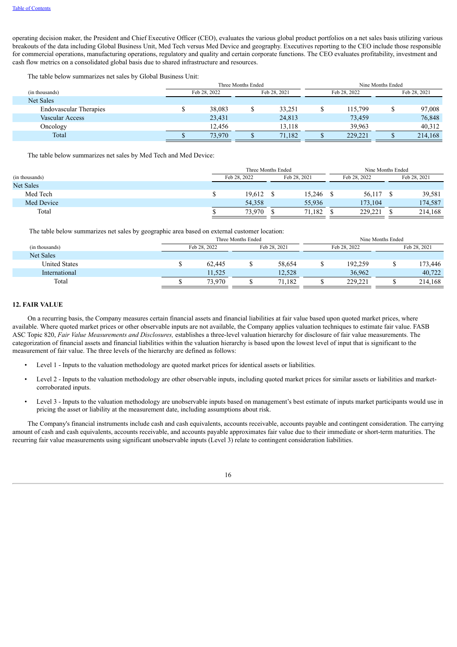operating decision maker, the President and Chief Executive Officer (CEO), evaluates the various global product portfolios on a net sales basis utilizing various breakouts of the data including Global Business Unit, Med Tech versus Med Device and geography. Executives reporting to the CEO include those responsible for commercial operations, manufacturing operations, regulatory and quality and certain corporate functions. The CEO evaluates profitability, investment and cash flow metrics on a consolidated global basis due to shared infrastructure and resources.

The table below summarizes net sales by Global Business Unit:

| Three Months Ended           |        |  |        | Nine Months Ended |              |              |         |
|------------------------------|--------|--|--------|-------------------|--------------|--------------|---------|
| Feb 28, 2022<br>Feb 28, 2021 |        |  |        |                   | Feb 28, 2021 |              |         |
|                              |        |  |        |                   |              |              |         |
|                              | 38,083 |  | 33,251 |                   | 115,799      |              | 97,008  |
|                              | 23,431 |  | 24,813 |                   | 73,459       |              | 76,848  |
|                              | 12,456 |  | 13.118 |                   | 39.963       |              | 40,312  |
|                              | 73.970 |  | 71,182 |                   | 229.221      |              | 214,168 |
|                              |        |  |        |                   |              | Feb 28, 2022 |         |

The table below summarizes net sales by Med Tech and Med Device:

|                  | Three Months Ended           |  |        |  | Nine Months Ended |  |              |
|------------------|------------------------------|--|--------|--|-------------------|--|--------------|
| (in thousands)   | Feb 28, 2022<br>Feb 28, 2021 |  |        |  | Feb 28, 2022      |  | Feb 28, 2021 |
| <b>Net Sales</b> |                              |  |        |  |                   |  |              |
| Med Tech         | 19,612                       |  | 15,246 |  | 56,117            |  | 39,581       |
| Med Device       | 54,358                       |  | 55,936 |  | 173,104           |  | 174,587      |
| Total            | 73,970                       |  | 71.182 |  | 229,221           |  | 214,168      |

The table below summarizes net sales by geographic area based on external customer location:

|                      | Three Months Ended |        |              |  |              | Nine Months Ended |              |
|----------------------|--------------------|--------|--------------|--|--------------|-------------------|--------------|
| (in thousands)       | Feb 28, 2022       |        | Feb 28, 2021 |  | Feb 28, 2022 |                   | Feb 28, 2021 |
| Net Sales            |                    |        |              |  |              |                   |              |
| <b>United States</b> | 62.445             |        | 58,654       |  | 192,259      |                   | 173,446      |
| International        | 11.525             |        | 12,528       |  | 36,962       |                   | 40.722       |
| Total                | 73.970             | 71,182 |              |  | 229.221      |                   | 214,168      |
|                      |                    |        |              |  |              |                   |              |

## **12. FAIR VALUE**

On a recurring basis, the Company measures certain financial assets and financial liabilities at fair value based upon quoted market prices, where available. Where quoted market prices or other observable inputs are not available, the Company applies valuation techniques to estimate fair value. FASB ASC Topic 820, *Fair Value Measurements and Disclosures,* establishes a three-level valuation hierarchy for disclosure of fair value measurements. The categorization of financial assets and financial liabilities within the valuation hierarchy is based upon the lowest level of input that is significant to the measurement of fair value. The three levels of the hierarchy are defined as follows:

- Level 1 Inputs to the valuation methodology are quoted market prices for identical assets or liabilities.
- Level 2 Inputs to the valuation methodology are other observable inputs, including quoted market prices for similar assets or liabilities and marketcorroborated inputs.
- Level 3 Inputs to the valuation methodology are unobservable inputs based on management's best estimate of inputs market participants would use in pricing the asset or liability at the measurement date, including assumptions about risk.

The Company's financial instruments include cash and cash equivalents, accounts receivable, accounts payable and contingent consideration. The carrying amount of cash and cash equivalents, accounts receivable, and accounts payable approximates fair value due to their immediate or short-term maturities. The recurring fair value measurements using significant unobservable inputs (Level 3) relate to contingent consideration liabilities.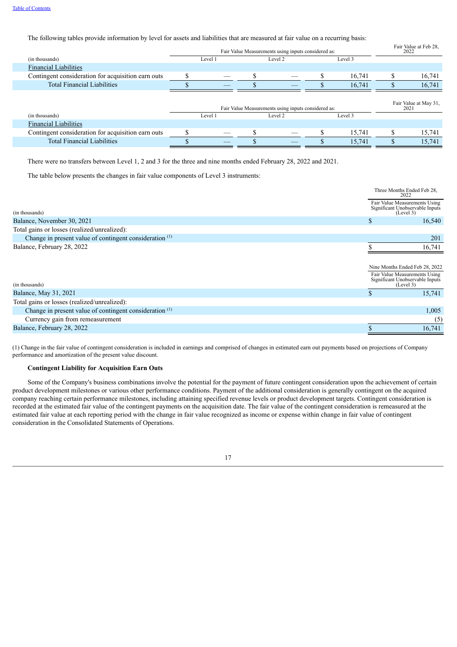## The following tables provide information by level for assets and liabilities that are measured at fair value on a recurring basis:

|                                                    | Fair Value Measurements using inputs considered as: |         |  |                                                     |  |         |  | Fair Value at Feb 28,<br>2022 |
|----------------------------------------------------|-----------------------------------------------------|---------|--|-----------------------------------------------------|--|---------|--|-------------------------------|
| (in thousands)                                     |                                                     | Level 1 |  | Level 2                                             |  | Level 3 |  |                               |
| <b>Financial Liabilities</b>                       |                                                     |         |  |                                                     |  |         |  |                               |
| Contingent consideration for acquisition earn outs |                                                     |         |  |                                                     |  | 16,741  |  | 16,741                        |
| <b>Total Financial Liabilities</b>                 |                                                     |         |  |                                                     |  | 16,741  |  | 16,741                        |
|                                                    |                                                     |         |  | Fair Value Measurements using inputs considered as: |  |         |  | Fair Value at May 31.<br>2021 |
| (in thousands)                                     |                                                     | Level 1 |  | Level 2                                             |  | Level 3 |  |                               |
| <b>Financial Liabilities</b>                       |                                                     |         |  |                                                     |  |         |  |                               |
| Contingent consideration for acquisition earn outs |                                                     |         |  |                                                     |  | 15,741  |  | 15,741                        |
| <b>Total Financial Liabilities</b>                 |                                                     |         |  |                                                     |  | 15,741  |  | 15,741                        |

There were no transfers between Level 1, 2 and 3 for the three and nine months ended February 28, 2022 and 2021.

The table below presents the changes in fair value components of Level 3 instruments:

|                                                                    |    | Three Months Ended Feb 28,<br>2022                                            |
|--------------------------------------------------------------------|----|-------------------------------------------------------------------------------|
| (in thousands)                                                     |    | Fair Value Measurements Using<br>Significant Unobservable Inputs<br>(Level 3) |
| Balance, November 30, 2021                                         | S  | 16,540                                                                        |
| Total gains or losses (realized/unrealized):                       |    |                                                                               |
| Change in present value of contingent consideration <sup>(1)</sup> |    | 201                                                                           |
| Balance, February 28, 2022                                         |    | 16,741                                                                        |
|                                                                    |    |                                                                               |
|                                                                    |    | Nine Months Ended Feb 28, 2022                                                |
| (in thousands)                                                     |    | Fair Value Measurements Using<br>Significant Unobservable Inputs<br>(Level 3) |
| Balance, May 31, 2021                                              | \$ | 15,741                                                                        |
| Total gains or losses (realized/unrealized):                       |    |                                                                               |
| Change in present value of contingent consideration <sup>(1)</sup> |    | 1,005                                                                         |
| Currency gain from remeasurement                                   |    | (5)                                                                           |
| Balance, February 28, 2022                                         |    | 16,741                                                                        |

(1) Change in the fair value of contingent consideration is included in earnings and comprised of changes in estimated earn out payments based on projections of Company performance and amortization of the present value discount.

#### **Contingent Liability for Acquisition Earn Outs**

Some of the Company's business combinations involve the potential for the payment of future contingent consideration upon the achievement of certain product development milestones or various other performance conditions. Payment of the additional consideration is generally contingent on the acquired company reaching certain performance milestones, including attaining specified revenue levels or product development targets. Contingent consideration is recorded at the estimated fair value of the contingent payments on the acquisition date. The fair value of the contingent consideration is remeasured at the estimated fair value at each reporting period with the change in fair value recognized as income or expense within change in fair value of contingent consideration in the Consolidated Statements of Operations.

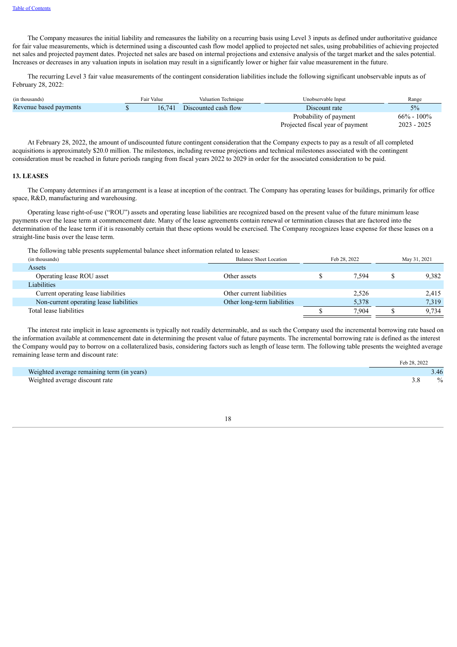The Company measures the initial liability and remeasures the liability on a recurring basis using Level 3 inputs as defined under authoritative guidance for fair value measurements, which is determined using a discounted cash flow model applied to projected net sales, using probabilities of achieving projected net sales and projected payment dates. Projected net sales are based on internal projections and extensive analysis of the target market and the sales potential. Increases or decreases in any valuation inputs in isolation may result in a significantly lower or higher fair value measurement in the future.

The recurring Level 3 fair value measurements of the contingent consideration liabilities include the following significant unobservable inputs as of February 28, 2022:

| (in thousands)         | Fair Value | Valuation Technique  | Unobservable Input               | Range          |
|------------------------|------------|----------------------|----------------------------------|----------------|
| Revenue based payments | 16.741     | Discounted cash flow | Discount rate                    | $5\%$          |
|                        |            |                      | Probability of payment           | $66\% - 100\%$ |
|                        |            |                      | Projected fiscal year of payment | $2023 - 2025$  |

At February 28, 2022, the amount of undiscounted future contingent consideration that the Company expects to pay as a result of all completed acquisitions is approximately \$20.0 million. The milestones, including revenue projections and technical milestones associated with the contingent consideration must be reached in future periods ranging from fiscal years 2022 to 2029 in order for the associated consideration to be paid.

#### **13. LEASES**

The Company determines if an arrangement is a lease at inception of the contract. The Company has operating leases for buildings, primarily for office space, R&D, manufacturing and warehousing.

Operating lease right-of-use ("ROU") assets and operating lease liabilities are recognized based on the present value of the future minimum lease payments over the lease term at commencement date. Many of the lease agreements contain renewal or termination clauses that are factored into the determination of the lease term if it is reasonably certain that these options would be exercised. The Company recognizes lease expense for these leases on a straight-line basis over the lease term.

The following table presents supplemental balance sheet information related to leases:

| (in thousands)                          | <b>Balance Sheet Location</b> | Feb 28, 2022 | May 31, 2021 |       |
|-----------------------------------------|-------------------------------|--------------|--------------|-------|
| Assets                                  |                               |              |              |       |
| Operating lease ROU asset               | Other assets                  | 7.594        |              | 9.382 |
| Liabilities                             |                               |              |              |       |
| Current operating lease liabilities     | Other current liabilities     | 2,526        |              | 2,415 |
| Non-current operating lease liabilities | Other long-term liabilities   | 5.378        |              | 7.319 |
| Total lease liabilities                 |                               | 7.904        |              | 9.734 |
|                                         |                               |              |              |       |

The interest rate implicit in lease agreements is typically not readily determinable, and as such the Company used the incremental borrowing rate based on the information available at commencement date in determining the present value of future payments. The incremental borrowing rate is defined as the interest the Company would pay to borrow on a collateralized basis, considering factors such as length of lease term. The following table presents the weighted average remaining lease term and discount rate:

|                                            | Feb 28, 2022 |
|--------------------------------------------|--------------|
| Weighted average remaining term (in years) |              |
| Weighted average discount rate             | $\%$         |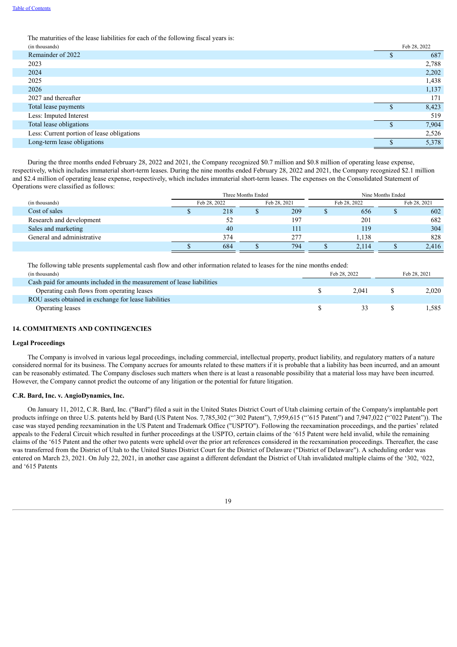The maturities of the lease liabilities for each of the following fiscal years is:

| (in thousands)                             | Feb 28, 2022 |
|--------------------------------------------|--------------|
| Remainder of 2022                          | 687          |
| 2023                                       | 2,788        |
| 2024                                       | 2,202        |
| 2025                                       | 1,438        |
| 2026                                       | 1,137        |
| 2027 and thereafter                        | 171          |
| Total lease payments                       | 8,423        |
| Less: Imputed Interest                     | 519          |
| Total lease obligations                    | 7,904        |
| Less: Current portion of lease obligations | 2,526        |
| Long-term lease obligations                | 5,378        |
|                                            |              |

During the three months ended February 28, 2022 and 2021, the Company recognized \$0.7 million and \$0.8 million of operating lease expense, respectively, which includes immaterial short-term leases. During the nine months ended February 28, 2022 and 2021, the Company recognized \$2.1 million and \$2.4 million of operating lease expense, respectively, which includes immaterial short-term leases. The expenses on the Consolidated Statement of Operations were classified as follows:

|                            |              | Three Months Ended |              | Nine Months Ended |              |  |              |  |
|----------------------------|--------------|--------------------|--------------|-------------------|--------------|--|--------------|--|
| (in thousands)             | Feb 28, 2022 |                    | Feb 28, 2021 |                   | Feb 28, 2022 |  | Feb 28, 2021 |  |
| Cost of sales              | 218          |                    | 209          |                   | 656          |  | 602          |  |
| Research and development   | 52           |                    | 197          |                   | 201          |  | 682          |  |
| Sales and marketing        | 40           |                    | 111          |                   | 119          |  | 304          |  |
| General and administrative | 374          |                    | 277          |                   | 1,138        |  | 828          |  |
|                            | 684          |                    | 794          |                   | 2,114        |  | 2,416        |  |

The following table presents supplemental cash flow and other information related to leases for the nine months ended: (in thousands) Feb 28, 2022 Feb 28, 2021

| --- ---- ----------                                                    |                             |       |
|------------------------------------------------------------------------|-----------------------------|-------|
| Cash paid for amounts included in the measurement of lease liabilities |                             |       |
| Operating cash flows from operating leases                             | 2.041                       | 2.020 |
| ROU assets obtained in exchange for lease liabilities                  |                             |       |
| Operating leases                                                       | $\rightarrow$ $\rightarrow$ | .585  |
|                                                                        |                             |       |

## **14. COMMITMENTS AND CONTINGENCIES**

#### **Legal Proceedings**

The Company is involved in various legal proceedings, including commercial, intellectual property, product liability, and regulatory matters of a nature considered normal for its business. The Company accrues for amounts related to these matters if it is probable that a liability has been incurred, and an amount can be reasonably estimated. The Company discloses such matters when there is at least a reasonable possibility that a material loss may have been incurred. However, the Company cannot predict the outcome of any litigation or the potential for future litigation.

#### **C.R. Bard, Inc. v. AngioDynamics, Inc.**

On January 11, 2012, C.R. Bard, Inc. ("Bard") filed a suit in the United States District Court of Utah claiming certain of the Company's implantable port products infringe on three U.S. patents held by Bard (US Patent Nos. 7,785,302 ("302 Patent"), 7,959,615 ("615 Patent") and 7,947,022 ("'022 Patent")). The case was stayed pending reexamination in the US Patent and Trademark Office ("USPTO"). Following the reexamination proceedings, and the parties' related appeals to the Federal Circuit which resulted in further proceedings at the USPTO, certain claims of the '615 Patent were held invalid, while the remaining claims of the '615 Patent and the other two patents were upheld over the prior art references considered in the reexamination proceedings. Thereafter, the case was transferred from the District of Utah to the United States District Court for the District of Delaware ("District of Delaware"). A scheduling order was entered on March 23, 2021. On July 22, 2021, in another case against a different defendant the District of Utah invalidated multiple claims of the '302, '022, and '615 Patents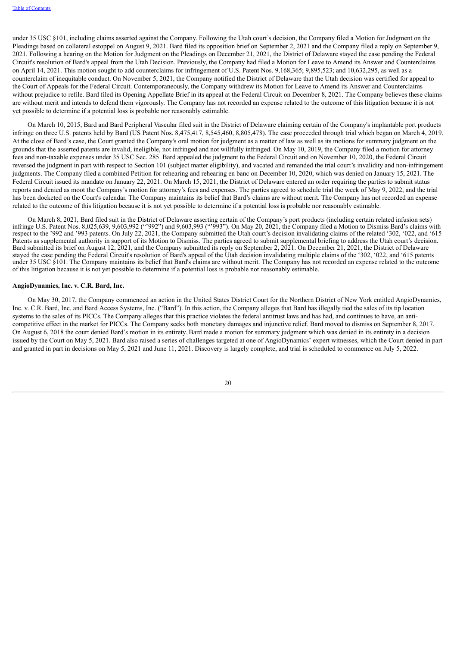under 35 USC §101, including claims asserted against the Company. Following the Utah court's decision, the Company filed a Motion for Judgment on the Pleadings based on collateral estoppel on August 9, 2021. Bard filed its opposition brief on September 2, 2021 and the Company filed a reply on September 9, 2021. Following a hearing on the Motion for Judgment on the Pleadings on December 21, 2021, the District of Delaware stayed the case pending the Federal Circuit's resolution of Bard's appeal from the Utah Decision. Previously, the Company had filed a Motion for Leave to Amend its Answer and Counterclaims on April 14, 2021. This motion sought to add counterclaims for infringement of U.S. Patent Nos. 9,168,365; 9,895,523; and 10,632,295, as well as a counterclaim of inequitable conduct. On November 5, 2021, the Company notified the District of Delaware that the Utah decision was certified for appeal to the Court of Appeals for the Federal Circuit. Contemporaneously, the Company withdrew its Motion for Leave to Amend its Answer and Counterclaims without prejudice to refile. Bard filed its Opening Appellate Brief in its appeal at the Federal Circuit on December 8, 2021. The Company believes these claims are without merit and intends to defend them vigorously. The Company has not recorded an expense related to the outcome of this litigation because it is not yet possible to determine if a potential loss is probable nor reasonably estimable.

On March 10, 2015, Bard and Bard Peripheral Vascular filed suit in the District of Delaware claiming certain of the Company's implantable port products infringe on three U.S. patents held by Bard (US Patent Nos. 8,475,417, 8,545,460, 8,805,478). The case proceeded through trial which began on March 4, 2019. At the close of Bard's case, the Court granted the Company's oral motion for judgment as a matter of law as well as its motions for summary judgment on the grounds that the asserted patents are invalid, ineligible, not infringed and not willfully infringed. On May 10, 2019, the Company filed a motion for attorney fees and non-taxable expenses under 35 USC Sec. 285. Bard appealed the judgment to the Federal Circuit and on November 10, 2020, the Federal Circuit reversed the judgment in part with respect to Section 101 (subject matter eligibility), and vacated and remanded the trial court's invalidity and non-infringement judgments. The Company filed a combined Petition for rehearing and rehearing en banc on December 10, 2020, which was denied on January 15, 2021. The Federal Circuit issued its mandate on January 22, 2021. On March 15, 2021, the District of Delaware entered an order requiring the parties to submit status reports and denied as moot the Company's motion for attorney's fees and expenses. The parties agreed to schedule trial the week of May 9, 2022, and the trial has been docketed on the Court's calendar. The Company maintains its belief that Bard's claims are without merit. The Company has not recorded an expense related to the outcome of this litigation because it is not yet possible to determine if a potential loss is probable nor reasonably estimable.

On March 8, 2021, Bard filed suit in the District of Delaware asserting certain of the Company's port products (including certain related infusion sets) infringe U.S. Patent Nos. 8,025,639, 9,603,992 ("'992") and 9,603,993 ("'993"). On May 20, 2021, the Company filed a Motion to Dismiss Bard's claims with respect to the '992 and '993 patents. On July 22, 2021, the Company submitted the Utah court's decision invalidating claims of the related '302, '022, and '615 Patents as supplemental authority in support of its Motion to Dismiss. The parties agreed to submit supplemental briefing to address the Utah court's decision. Bard submitted its brief on August 12, 2021, and the Company submitted its reply on September 2, 2021. On December 21, 2021, the District of Delaware stayed the case pending the Federal Circuit's resolution of Bard's appeal of the Utah decision invalidating multiple claims of the '302, '022, and '615 patents under 35 USC §101. The Company maintains its belief that Bard's claims are without merit. The Company has not recorded an expense related to the outcome of this litigation because it is not yet possible to determine if a potential loss is probable nor reasonably estimable.

## **AngioDynamics, Inc. v. C.R. Bard, Inc.**

On May 30, 2017, the Company commenced an action in the United States District Court for the Northern District of New York entitled AngioDynamics, Inc. v. C.R. Bard, Inc. and Bard Access Systems, Inc. ("Bard"). In this action, the Company alleges that Bard has illegally tied the sales of its tip location systems to the sales of its PICCs. The Company alleges that this practice violates the federal antitrust laws and has had, and continues to have, an anticompetitive effect in the market for PICCs. The Company seeks both monetary damages and injunctive relief. Bard moved to dismiss on September 8, 2017. On August 6, 2018 the court denied Bard's motion in its entirety. Bard made a motion for summary judgment which was denied in its entirety in a decision issued by the Court on May 5, 2021. Bard also raised a series of challenges targeted at one of AngioDynamics' expert witnesses, which the Court denied in part and granted in part in decisions on May 5, 2021 and June 11, 2021. Discovery is largely complete, and trial is scheduled to commence on July 5, 2022.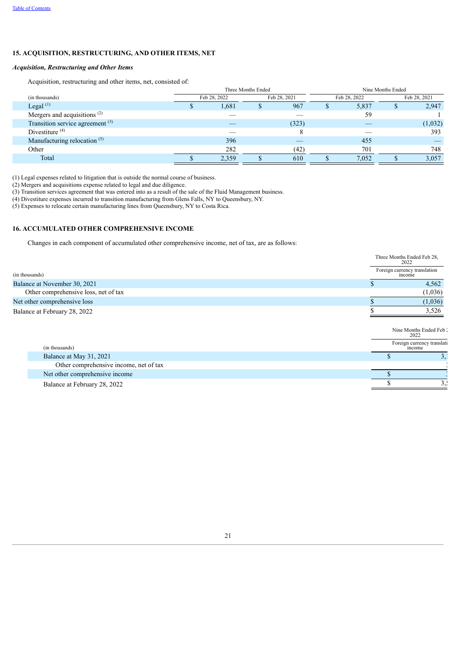## **15. ACQUISITION, RESTRUCTURING, AND OTHER ITEMS, NET**

## *Acquisition, Restructuring and Other Items*

Acquisition, restructuring and other items, net, consisted of:

|                                             | Three Months Ended |       |              |       |              | Nine Months Ended |              |         |  |
|---------------------------------------------|--------------------|-------|--------------|-------|--------------|-------------------|--------------|---------|--|
| (in thousands)                              | Feb 28, 2022       |       | Feb 28, 2021 |       | Feb 28, 2022 |                   | Feb 28, 2021 |         |  |
| Legal $^{(1)}$                              |                    | 1,681 |              | 967   | ۰D           | 5,837             |              | 2,947   |  |
| Mergers and acquisitions <sup>(2)</sup>     |                    |       |              |       |              | 59                |              |         |  |
| Transition service agreement <sup>(3)</sup> |                    |       |              | (323) |              |                   |              | (1,032) |  |
| Divestiture $(4)$                           |                    |       |              |       |              |                   |              | 393     |  |
| Manufacturing relocation <sup>(5)</sup>     |                    | 396   |              |       |              | 455               |              |         |  |
| Other                                       |                    | 282   |              | (42)  |              | 701               |              | 748     |  |
| Total                                       |                    | 2,359 |              | 610   |              | 7,052             |              | 3,057   |  |

(1) Legal expenses related to litigation that is outside the normal course of business.

(2) Mergers and acquisitions expense related to legal and due diligence.

(3) Transition services agreement that was entered into as a result of the sale of the Fluid Management business.

(4) Divestiture expenses incurred to transition manufacturing from Glens Falls, NY to Queensbury, NY.

(5) Expenses to relocate certain manufacturing lines from Queensbury, NY to Costa Rica.

### **16. ACCUMULATED OTHER COMPREHENSIVE INCOME**

Changes in each component of accumulated other comprehensive income, net of tax, are as follows:

|                                      | Three Months Ended Feb 28,<br>2022     |  |
|--------------------------------------|----------------------------------------|--|
| (in thousands)                       | Foreign currency translation<br>income |  |
| Balance at November 30, 2021         | 4,562                                  |  |
| Other comprehensive loss, net of tax | (1,036)                                |  |
| Net other comprehensive loss         | (1,036)                                |  |
| Balance at February 28, 2022         | 3,526                                  |  |

Nine Months Ended Feb 2 2022

|                                        | 2022  |                            |
|----------------------------------------|-------|----------------------------|
| (in thousands)                         | mcome | Foreign currency translati |
| Balance at May 31, 2021                |       |                            |
| Other comprehensive income, net of tax |       |                            |
| Net other comprehensive income         |       |                            |
| Balance at February 28, 2022           |       |                            |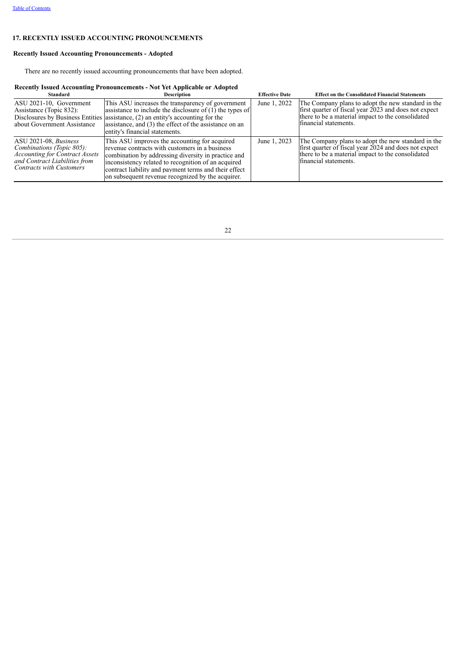## **17. RECENTLY ISSUED ACCOUNTING PRONOUNCEMENTS**

## **Recently Issued Accounting Pronouncements - Adopted**

There are no recently issued accounting pronouncements that have been adopted.

## **Recently Issued Accounting Pronouncements - Not Yet Applicable or Adopted**

<span id="page-22-0"></span>

| <b>Standard</b>                                                                                                                                                 | <b>Description</b>                                                                                                                                                                                                                                                                                                          | <b>Effective Date</b> | <b>Effect on the Consolidated Financial Statements</b>                                                                                                                                    |
|-----------------------------------------------------------------------------------------------------------------------------------------------------------------|-----------------------------------------------------------------------------------------------------------------------------------------------------------------------------------------------------------------------------------------------------------------------------------------------------------------------------|-----------------------|-------------------------------------------------------------------------------------------------------------------------------------------------------------------------------------------|
| ASU 2021-10, Government<br>Assistance (Topic 832):<br>about Government Assistance                                                                               | This ASU increases the transparency of government<br>assistance to include the disclosure of $(1)$ the types of<br>Disclosures by Business Entities assistance, (2) an entity's accounting for the<br>assistance, and (3) the effect of the assistance on an<br>entity's financial statements.                              | June 1, 2022          | The Company plans to adopt the new standard in the<br>first quarter of fiscal year 2023 and does not expect<br>there to be a material impact to the consolidated<br>financial statements. |
| ASU 2021-08, Business<br>Combinations (Topic 805):<br><b>Accounting for Contract Assets</b><br>and Contract Liabilities from<br><b>Contracts with Customers</b> | This ASU improves the accounting for acquired<br>revenue contracts with customers in a business<br>combination by addressing diversity in practice and<br>inconsistency related to recognition of an acquired<br>contract liability and payment terms and their effect<br>on subsequent revenue recognized by the acquirer. | June 1, 2023          | The Company plans to adopt the new standard in the<br>first quarter of fiscal year 2024 and does not expect<br>there to be a material impact to the consolidated<br>financial statements. |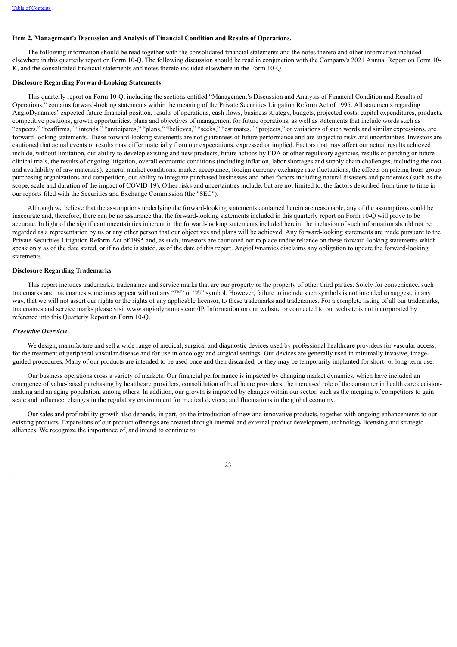#### **Item 2. Management's Discussion and Analysis of Financial Condition and Results of Operations.**

The following information should be read together with the consolidated financial statements and the notes thereto and other information included elsewhere in this quarterly report on Form 10-Q. The following discussion should be read in conjunction with the Company's 2021 Annual Report on Form 10- K, and the consolidated financial statements and notes thereto included elsewhere in the Form 10-Q.

## **Disclosure Regarding Forward-Looking Statements**

This quarterly report on Form 10-Q, including the sections entitled "Management's Discussion and Analysis of Financial Condition and Results of Operations," contains forward-looking statements within the meaning of the Private Securities Litigation Reform Act of 1995. All statements regarding AngioDynamics' expected future financial position, results of operations, cash flows, business strategy, budgets, projected costs, capital expenditures, products, competitive positions, growth opportunities, plans and objectives of management for future operations, as well as statements that include words such as "expects," "reaffirms," "intends," "anticipates," "plans," "believes," "seeks," "estimates," "projects," or variations of such words and similar expressions, are forward-looking statements. These forward-looking statements are not guarantees of future performance and are subject to risks and uncertainties. Investors are cautioned that actual events or results may differ materially from our expectations, expressed or implied. Factors that may affect our actual results achieved include, without limitation, our ability to develop existing and new products, future actions by FDA or other regulatory agencies, results of pending or future clinical trials, the results of ongoing litigation, overall economic conditions (including inflation, labor shortages and supply chain challenges, including the cost and availability of raw materials), general market conditions, market acceptance, foreign currency exchange rate fluctuations, the effects on pricing from group purchasing organizations and competition, our ability to integrate purchased businesses and other factors including natural disasters and pandemics (such as the scope, scale and duration of the impact of COVID-19). Other risks and uncertainties include, but are not limited to, the factors described from time to time in our reports filed with the Securities and Exchange Commission (the "SEC").

Although we believe that the assumptions underlying the forward-looking statements contained herein are reasonable, any of the assumptions could be inaccurate and, therefore, there can be no assurance that the forward-looking statements included in this quarterly report on Form 10-Q will prove to be accurate. In light of the significant uncertainties inherent in the forward-looking statements included herein, the inclusion of such information should not be regarded as a representation by us or any other person that our objectives and plans will be achieved. Any forward-looking statements are made pursuant to the Private Securities Litigation Reform Act of 1995 and, as such, investors are cautioned not to place undue reliance on these forward-looking statements which speak only as of the date stated, or if no date is stated, as of the date of this report. AngioDynamics disclaims any obligation to update the forward-looking statements.

#### **Disclosure Regarding Trademarks**

This report includes trademarks, tradenames and service marks that are our property or the property of other third parties. Solely for convenience, such trademarks and tradenames sometimes appear without any "™" or "®" symbol. However, failure to include such symbols is not intended to suggest, in any way, that we will not assert our rights or the rights of any applicable licensor, to these trademarks and tradenames. For a complete listing of all our trademarks, tradenames and service marks please visit www.angiodynamics.com/IP. Information on our website or connected to our website is not incorporated by reference into this Quarterly Report on Form 10-Q.

#### *Executive Overview*

We design, manufacture and sell a wide range of medical, surgical and diagnostic devices used by professional healthcare providers for vascular access, for the treatment of peripheral vascular disease and for use in oncology and surgical settings. Our devices are generally used in minimally invasive, imageguided procedures. Many of our products are intended to be used once and then discarded, or they may be temporarily implanted for short- or long-term use.

Our business operations cross a variety of markets. Our financial performance is impacted by changing market dynamics, which have included an emergence of value-based purchasing by healthcare providers, consolidation of healthcare providers, the increased role of the consumer in health care decisionmaking and an aging population, among others. In addition, our growth is impacted by changes within our sector, such as the merging of competitors to gain scale and influence; changes in the regulatory environment for medical devices; and fluctuations in the global economy.

Our sales and profitability growth also depends, in part, on the introduction of new and innovative products, together with ongoing enhancements to our existing products. Expansions of our product offerings are created through internal and external product development, technology licensing and strategic alliances. We recognize the importance of, and intend to continue to

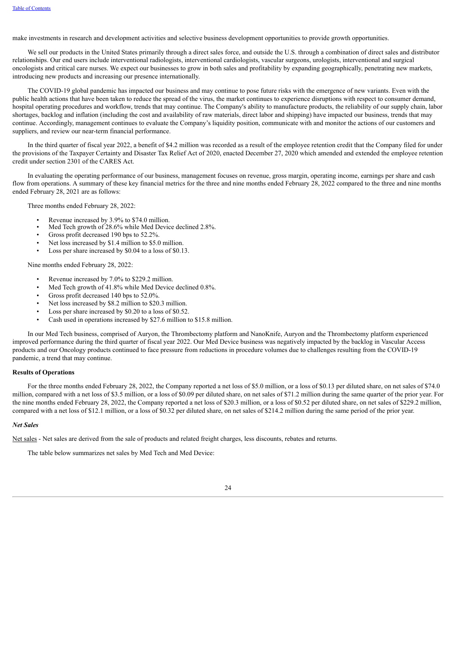make investments in research and development activities and selective business development opportunities to provide growth opportunities.

We sell our products in the United States primarily through a direct sales force, and outside the U.S. through a combination of direct sales and distributor relationships. Our end users include interventional radiologists, interventional cardiologists, vascular surgeons, urologists, interventional and surgical oncologists and critical care nurses. We expect our businesses to grow in both sales and profitability by expanding geographically, penetrating new markets, introducing new products and increasing our presence internationally.

The COVID-19 global pandemic has impacted our business and may continue to pose future risks with the emergence of new variants. Even with the public health actions that have been taken to reduce the spread of the virus, the market continues to experience disruptions with respect to consumer demand, hospital operating procedures and workflow, trends that may continue. The Company's ability to manufacture products, the reliability of our supply chain, labor shortages, backlog and inflation (including the cost and availability of raw materials, direct labor and shipping) have impacted our business, trends that may continue. Accordingly, management continues to evaluate the Company's liquidity position, communicate with and monitor the actions of our customers and suppliers, and review our near-term financial performance.

In the third quarter of fiscal year 2022, a benefit of \$4.2 million was recorded as a result of the employee retention credit that the Company filed for under the provisions of the Taxpayer Certainty and Disaster Tax Relief Act of 2020, enacted December 27, 2020 which amended and extended the employee retention credit under section 2301 of the CARES Act.

In evaluating the operating performance of our business, management focuses on revenue, gross margin, operating income, earnings per share and cash flow from operations. A summary of these key financial metrics for the three and nine months ended February 28, 2022 compared to the three and nine months ended February 28, 2021 are as follows:

Three months ended February 28, 2022:

- Revenue increased by 3.9% to \$74.0 million.
- Med Tech growth of 28.6% while Med Device declined 2.8%.
- Gross profit decreased 190 bps to 52.2%.
- Net loss increased by \$1.4 million to \$5.0 million.
- Loss per share increased by \$0.04 to a loss of \$0.13.

Nine months ended February 28, 2022:

- Revenue increased by 7.0% to \$229.2 million.
- Med Tech growth of 41.8% while Med Device declined 0.8%.
- Gross profit decreased 140 bps to 52.0%.
- Net loss increased by \$8.2 million to \$20.3 million.
- Loss per share increased by \$0.20 to a loss of \$0.52.
- Cash used in operations increased by \$27.6 million to \$15.8 million.

In our Med Tech business, comprised of Auryon, the Thrombectomy platform and NanoKnife, Auryon and the Thrombectomy platform experienced improved performance during the third quarter of fiscal year 2022. Our Med Device business was negatively impacted by the backlog in Vascular Access products and our Oncology products continued to face pressure from reductions in procedure volumes due to challenges resulting from the COVID-19 pandemic, a trend that may continue.

#### **Results of Operations**

For the three months ended February 28, 2022, the Company reported a net loss of \$5.0 million, or a loss of \$0.13 per diluted share, on net sales of \$74.0 million, compared with a net loss of \$3.5 million, or a loss of \$0.09 per diluted share, on net sales of \$71.2 million during the same quarter of the prior year. For the nine months ended February 28, 2022, the Company reported a net loss of \$20.3 million, or a loss of \$0.52 per diluted share, on net sales of \$229.2 million, compared with a net loss of \$12.1 million, or a loss of \$0.32 per diluted share, on net sales of \$214.2 million during the same period of the prior year.

#### *Net Sales*

Net sales - Net sales are derived from the sale of products and related freight charges, less discounts, rebates and returns.

The table below summarizes net sales by Med Tech and Med Device:

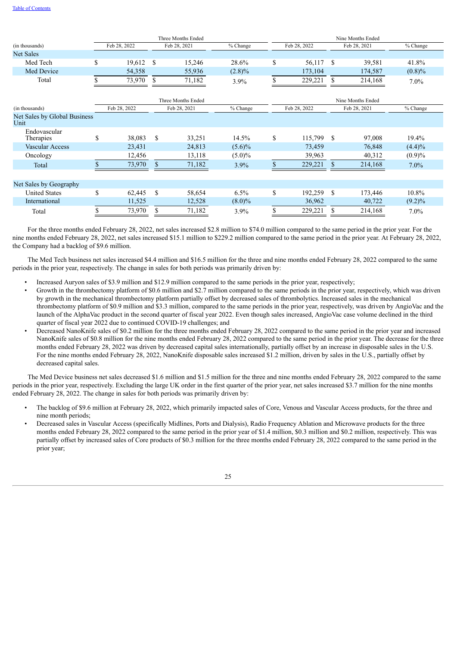|                                      | Three Months Ended |                              |               |                    |           | Nine Months Ended |              |               |              |           |  |  |
|--------------------------------------|--------------------|------------------------------|---------------|--------------------|-----------|-------------------|--------------|---------------|--------------|-----------|--|--|
| (in thousands)                       |                    | Feb 28, 2022<br>Feb 28, 2021 |               | % Change           |           | Feb 28, 2022      |              | Feb 28, 2021  | % Change     |           |  |  |
| <b>Net Sales</b>                     |                    |                              |               |                    |           |                   |              |               |              |           |  |  |
| Med Tech                             | \$                 | 19,612                       | <sup>\$</sup> | 15,246             | 28.6%     | \$                | 56,117       | S             | 39,581       | 41.8%     |  |  |
| Med Device                           |                    | 54,358                       |               | 55,936             | $(2.8)\%$ |                   | 173,104      |               | 174,587      | $(0.8)\%$ |  |  |
| Total                                |                    | 73,970                       | <sup>\$</sup> | 71,182             | $3.9\%$   |                   | 229,221      | S             | 214,168      | $7.0\%$   |  |  |
|                                      |                    |                              |               | Three Months Ended |           | Nine Months Ended |              |               |              |           |  |  |
| (in thousands)                       |                    | Feb 28, 2022                 |               | Feb 28, 2021       | % Change  |                   | Feb 28, 2022 |               | Feb 28, 2021 | % Change  |  |  |
| Net Sales by Global Business<br>Unit |                    |                              |               |                    |           |                   |              |               |              |           |  |  |
| Endovascular<br>Therapies            | \$                 | 38,083                       | \$            | 33,251             | 14.5%     | \$                | 115,799      | <sup>\$</sup> | 97,008       | 19.4%     |  |  |
| <b>Vascular Access</b>               |                    | 23,431                       |               | 24,813             | $(5.6)\%$ |                   | 73,459       |               | 76,848       | (4.4)%    |  |  |
| Oncology                             |                    | 12,456                       |               | 13,118             | $(5.0)\%$ |                   | 39,963       |               | 40,312       | (0.9)%    |  |  |
| Total                                |                    | 73,970                       | S             | 71,182             | 3.9%      |                   | 229,221      | \$            | 214,168      | 7.0%      |  |  |
|                                      |                    |                              |               |                    |           |                   |              |               |              |           |  |  |
| Net Sales by Geography               |                    |                              |               |                    |           |                   |              |               |              |           |  |  |
| <b>United States</b>                 | \$                 | 62,445                       | \$            | 58,654             | 6.5%      | \$                | 192,259      | <sup>S</sup>  | 173,446      | 10.8%     |  |  |
| International                        |                    | 11,525                       |               | 12,528             | $(8.0)\%$ |                   | 36,962       |               | 40,722       | $(9.2)\%$ |  |  |
| Total                                | S                  | 73,970                       | S             | 71,182             | 3.9%      |                   | 229,221      | S             | 214,168      | 7.0%      |  |  |

For the three months ended February 28, 2022, net sales increased \$2.8 million to \$74.0 million compared to the same period in the prior year. For the nine months ended February 28, 2022, net sales increased \$15.1 million to \$229.2 million compared to the same period in the prior year. At February 28, 2022, the Company had a backlog of \$9.6 million.

The Med Tech business net sales increased \$4.4 million and \$16.5 million for the three and nine months ended February 28, 2022 compared to the same periods in the prior year, respectively. The change in sales for both periods was primarily driven by:

- Increased Auryon sales of \$3.9 million and \$12.9 million compared to the same periods in the prior year, respectively;
- Growth in the thrombectomy platform of \$0.6 million and \$2.7 million compared to the same periods in the prior year, respectively, which was driven by growth in the mechanical thrombectomy platform partially offset by decreased sales of thrombolytics. Increased sales in the mechanical thrombectomy platform of \$0.9 million and \$3.3 million, compared to the same periods in the prior year, respectively, was driven by AngioVac and the launch of the AlphaVac product in the second quarter of fiscal year 2022. Even though sales increased, AngioVac case volume declined in the third quarter of fiscal year 2022 due to continued COVID-19 challenges; and
- Decreased NanoKnife sales of \$0.2 million for the three months ended February 28, 2022 compared to the same period in the prior year and increased NanoKnife sales of \$0.8 million for the nine months ended February 28, 2022 compared to the same period in the prior year. The decrease for the three months ended February 28, 2022 was driven by decreased capital sales internationally, partially offset by an increase in disposable sales in the U.S. For the nine months ended February 28, 2022, NanoKnife disposable sales increased \$1.2 million, driven by sales in the U.S., partially offset by decreased capital sales.

The Med Device business net sales decreased \$1.6 million and \$1.5 million for the three and nine months ended February 28, 2022 compared to the same periods in the prior year, respectively. Excluding the large UK order in the first quarter of the prior year, net sales increased \$3.7 million for the nine months ended February 28, 2022. The change in sales for both periods was primarily driven by:

- The backlog of \$9.6 million at February 28, 2022, which primarily impacted sales of Core, Venous and Vascular Access products, for the three and nine month periods;
- Decreased sales in Vascular Access (specifically Midlines, Ports and Dialysis), Radio Frequency Ablation and Microwave products for the three months ended February 28, 2022 compared to the same period in the prior year of \$1.4 million, \$0.3 million and \$0.2 million, respectively. This was partially offset by increased sales of Core products of \$0.3 million for the three months ended February 28, 2022 compared to the same period in the prior year;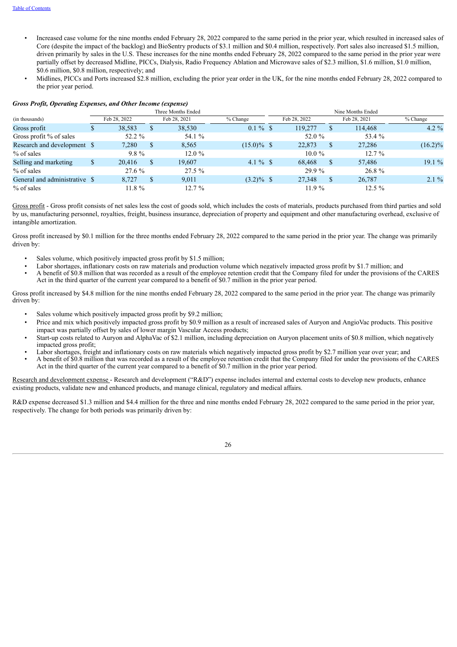- Increased case volume for the nine months ended February 28, 2022 compared to the same period in the prior year, which resulted in increased sales of Core (despite the impact of the backlog) and BioSentry products of \$3.1 million and \$0.4 million, respectively. Port sales also increased \$1.5 million, driven primarily by sales in the U.S. These increases for the nine months ended February 28, 2022 compared to the same period in the prior year were partially offset by decreased Midline, PICCs, Dialysis, Radio Frequency Ablation and Microwave sales of \$2.3 million, \$1.6 million, \$1.0 million, \$0.6 million, \$0.8 million, respectively; and
- Midlines, PICCs and Ports increased \$2.8 million, excluding the prior year order in the UK, for the nine months ended February 28, 2022 compared to the prior year period.

## *Gross Profit, Operating Expenses, and Other Income (expense)*

|                               | Three Months Ended |              |              |              |               |  | Nine Months Ended |              |              |            |  |  |
|-------------------------------|--------------------|--------------|--------------|--------------|---------------|--|-------------------|--------------|--------------|------------|--|--|
| (in thousands)                |                    | Feb 28, 2022 |              | Feb 28, 2021 | $%$ Change    |  | Feb 28, 2022      |              | Feb 28, 2021 | % Change   |  |  |
| Gross profit                  |                    | 38,583       | P.           | 38,530       | $0.1 \%$ \$   |  | 119.277           | $\mathbf{D}$ | 114,468      | $4.2\%$    |  |  |
| Gross profit % of sales       |                    | 52.2 %       |              | 54.1 %       |               |  | 52.0 %            |              | 53.4 %       |            |  |  |
| Research and development \$   |                    | 7.280        | $\mathbb{S}$ | 8,565        | $(15.0)\%$ \$ |  | 22,873            |              | 27,286       | $(16.2)\%$ |  |  |
| % of sales                    |                    | $9.8\%$      |              | $12.0\%$     |               |  | $10.0\%$          |              | $12.7\%$     |            |  |  |
| Selling and marketing         |                    | 20.416       | \$           | 19.607       | 4.1 % \$      |  | 68,468            |              | 57,486       | 19.1%      |  |  |
| % of sales                    |                    | 27.6 %       |              | $27.5\%$     |               |  | 29.9 %            |              | 26.8%        |            |  |  |
| General and administrative \$ |                    | 8.727        | \$.          | 9,011        | $(3.2)\%$ \$  |  | 27,348            | S.           | 26,787       | $2.1\%$    |  |  |
| $%$ of sales                  |                    | 11.8%        |              | $12.7\%$     |               |  | 11.9%             |              | $12.5 \%$    |            |  |  |

Gross profit - Gross profit consists of net sales less the cost of goods sold, which includes the costs of materials, products purchased from third parties and sold by us, manufacturing personnel, royalties, freight, business insurance, depreciation of property and equipment and other manufacturing overhead, exclusive of intangible amortization.

Gross profit increased by \$0.1 million for the three months ended February 28, 2022 compared to the same period in the prior year. The change was primarily driven by:

- Sales volume, which positively impacted gross profit by \$1.5 million;
- Labor shortages, inflationary costs on raw materials and production volume which negatively impacted gross profit by \$1.7 million; and
- A benefit of \$0.8 million that was recorded as a result of the employee retention credit that the Company filed for under the provisions of the CARES Act in the third quarter of the current year compared to a benefit of \$0.7 million in the prior year period.

Gross profit increased by \$4.8 million for the nine months ended February 28, 2022 compared to the same period in the prior year. The change was primarily driven by:

- Sales volume which positively impacted gross profit by \$9.2 million;
- Price and mix which positively impacted gross profit by \$0.9 million as a result of increased sales of Auryon and AngioVac products. This positive impact was partially offset by sales of lower margin Vascular Access products;
- Start-up costs related to Auryon and AlphaVac of \$2.1 million, including depreciation on Auryon placement units of \$0.8 million, which negatively impacted gross profit;
- Labor shortages, freight and inflationary costs on raw materials which negatively impacted gross profit by \$2.7 million year over year; and
- A benefit of \$0.8 million that was recorded as a result of the employee retention credit that the Company filed for under the provisions of the CARES Act in the third quarter of the current year compared to a benefit of \$0.7 million in the prior year period.

Research and development expense - Research and development ("R&D") expense includes internal and external costs to develop new products, enhance existing products, validate new and enhanced products, and manage clinical, regulatory and medical affairs.

R&D expense decreased \$1.3 million and \$4.4 million for the three and nine months ended February 28, 2022 compared to the same period in the prior year, respectively. The change for both periods was primarily driven by: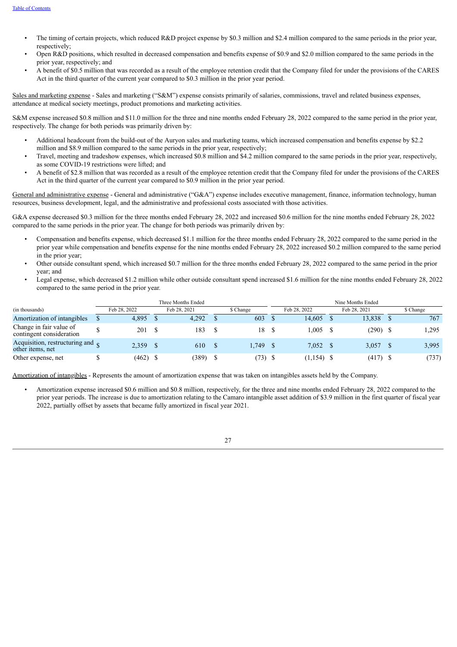- The timing of certain projects, which reduced R&D project expense by \$0.3 million and \$2.4 million compared to the same periods in the prior year, respectively;
- Open R&D positions, which resulted in decreased compensation and benefits expense of \$0.9 and \$2.0 million compared to the same periods in the prior year, respectively; and
- A benefit of \$0.5 million that was recorded as a result of the employee retention credit that the Company filed for under the provisions of the CARES Act in the third quarter of the current year compared to \$0.3 million in the prior year period.

Sales and marketing expense - Sales and marketing ("S&M") expense consists primarily of salaries, commissions, travel and related business expenses, attendance at medical society meetings, product promotions and marketing activities.

S&M expense increased \$0.8 million and \$11.0 million for the three and nine months ended February 28, 2022 compared to the same period in the prior year, respectively. The change for both periods was primarily driven by:

- Additional headcount from the build-out of the Auryon sales and marketing teams, which increased compensation and benefits expense by \$2.2 million and \$8.9 million compared to the same periods in the prior year, respectively;
- Travel, meeting and tradeshow expenses, which increased \$0.8 million and \$4.2 million compared to the same periods in the prior year, respectively, as some COVID-19 restrictions were lifted; and
- A benefit of \$2.8 million that was recorded as a result of the employee retention credit that the Company filed for under the provisions of the CARES Act in the third quarter of the current year compared to \$0.9 million in the prior year period.

General and administrative expense - General and administrative ("G&A") expense includes executive management, finance, information technology, human resources, business development, legal, and the administrative and professional costs associated with those activities.

G&A expense decreased \$0.3 million for the three months ended February 28, 2022 and increased \$0.6 million for the nine months ended February 28, 2022 compared to the same periods in the prior year. The change for both periods was primarily driven by:

- Compensation and benefits expense, which decreased \$1.1 million for the three months ended February 28, 2022 compared to the same period in the prior year while compensation and benefits expense for the nine months ended February 28, 2022 increased \$0.2 million compared to the same period in the prior year;
- Other outside consultant spend, which increased \$0.7 million for the three months ended February 28, 2022 compared to the same period in the prior year; and
- Legal expense, which decreased \$1.2 million while other outside consultant spend increased \$1.6 million for the nine months ended February 28, 2022 compared to the same period in the prior year.

|                                                               | Three Months Ended |              |  |              | Nine Months Ended |  |              |  |              |  |           |
|---------------------------------------------------------------|--------------------|--------------|--|--------------|-------------------|--|--------------|--|--------------|--|-----------|
| (in thousands)                                                |                    | Feb 28, 2022 |  | Feb 28, 2021 | \$ Change         |  | Feb 28, 2022 |  | Feb 28, 2021 |  | \$ Change |
| Amortization of intangibles                                   |                    | 4,895        |  | 4.292        | 603               |  | 14.605       |  | 13,838       |  | 767       |
| Change in fair value of<br>contingent consideration           |                    | 201          |  | 183          | 18                |  | 1.005        |  | $(290)$ \$   |  | 1,295     |
| Acquisition, restructuring and $_{\odot}$<br>other items, net |                    | 2,359        |  | 610          | .749              |  | 7,052 \$     |  | 3,057        |  | 3,995     |
| Other expense, net                                            |                    | $(462)$ \$   |  | (389)        | (73) S            |  | $(1,154)$ \$ |  | $(417)$ \$   |  | (737)     |

Amortization of intangibles - Represents the amount of amortization expense that was taken on intangibles assets held by the Company.

• Amortization expense increased \$0.6 million and \$0.8 million, respectively, for the three and nine months ended February 28, 2022 compared to the prior year periods. The increase is due to amortization relating to the Camaro intangible asset addition of \$3.9 million in the first quarter of fiscal year 2022, partially offset by assets that became fully amortized in fiscal year 2021.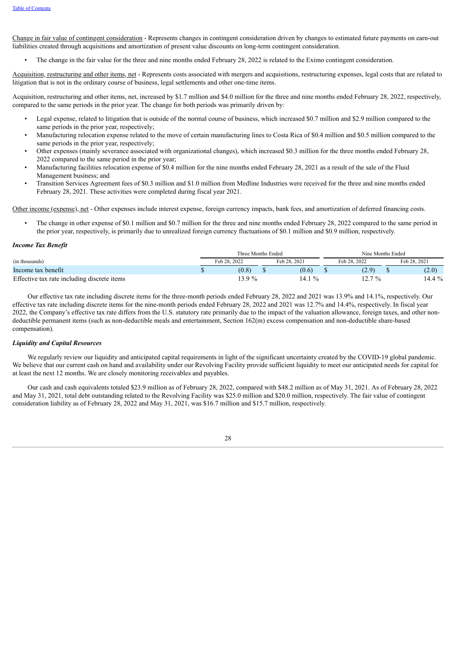Change in fair value of contingent consideration - Represents changes in contingent consideration driven by changes to estimated future payments on earn-out liabilities created through acquisitions and amortization of present value discounts on long-term contingent consideration.

• The change in the fair value for the three and nine months ended February 28, 2022 is related to the Eximo contingent consideration.

Acquisition, restructuring and other items, net - Represents costs associated with mergers and acquisitions, restructuring expenses, legal costs that are related to litigation that is not in the ordinary course of business, legal settlements and other one-time items.

Acquisition, restructuring and other items, net, increased by \$1.7 million and \$4.0 million for the three and nine months ended February 28, 2022, respectively, compared to the same periods in the prior year. The change for both periods was primarily driven by:

- Legal expense, related to litigation that is outside of the normal course of business, which increased \$0.7 million and \$2.9 million compared to the same periods in the prior year, respectively;
- Manufacturing relocation expense related to the move of certain manufacturing lines to Costa Rica of \$0.4 million and \$0.5 million compared to the same periods in the prior year, respectively;
- Other expenses (mainly severance associated with organizational changes), which increased \$0.3 million for the three months ended February 28, 2022 compared to the same period in the prior year;
- Manufacturing facilities relocation expense of \$0.4 million for the nine months ended February 28, 2021 as a result of the sale of the Fluid Management business; and
- Transition Services Agreement fees of \$0.3 million and \$1.0 million from Medline Industries were received for the three and nine months ended February 28, 2021. These activities were completed during fiscal year 2021.

Other income (expense), net - Other expenses include interest expense, foreign currency impacts, bank fees, and amortization of deferred financing costs.

• The change in other expense of \$0.1 million and \$0.7 million for the three and nine months ended February 28, 2022 compared to the same period in the prior year, respectively, is primarily due to unrealized foreign currency fluctuations of \$0.1 million and \$0.9 million, respectively.

#### *Income Tax Benefit*

|                                             | Three Months Ended |              |  | Nine Months Ended     |  |              |  |              |
|---------------------------------------------|--------------------|--------------|--|-----------------------|--|--------------|--|--------------|
| (in thousands)                              |                    | Feb 28, 2022 |  | Feb 28, 2021          |  | Feb 28, 2022 |  | Feb 28, 2021 |
| Income tax benefit                          |                    | (0.8)        |  | (0.6)                 |  | (2.9)        |  | (2.0)        |
| Effective tax rate including discrete items |                    | $3.9\%$      |  | 14.1<br>$\frac{0}{0}$ |  | $12.7\%$     |  | $14.4\%$     |

Our effective tax rate including discrete items for the three-month periods ended February 28, 2022 and 2021 was 13.9% and 14.1%, respectively. Our effective tax rate including discrete items for the nine-month periods ended February 28, 2022 and 2021 was 12.7% and 14.4%, respectively. In fiscal year 2022, the Company's effective tax rate differs from the U.S. statutory rate primarily due to the impact of the valuation allowance, foreign taxes, and other nondeductible permanent items (such as non-deductible meals and entertainment, Section 162(m) excess compensation and non-deductible share-based compensation).

## *Liquidity and Capital Resources*

We regularly review our liquidity and anticipated capital requirements in light of the significant uncertainty created by the COVID-19 global pandemic. We believe that our current cash on hand and availability under our Revolving Facility provide sufficient liquidity to meet our anticipated needs for capital for at least the next 12 months. We are closely monitoring receivables and payables.

Our cash and cash equivalents totaled \$23.9 million as of February 28, 2022, compared with \$48.2 million as of May 31, 2021. As of February 28, 2022 and May 31, 2021, total debt outstanding related to the Revolving Facility was \$25.0 million and \$20.0 million, respectively. The fair value of contingent consideration liability as of February 28, 2022 and May 31, 2021, was \$16.7 million and \$15.7 million, respectively.

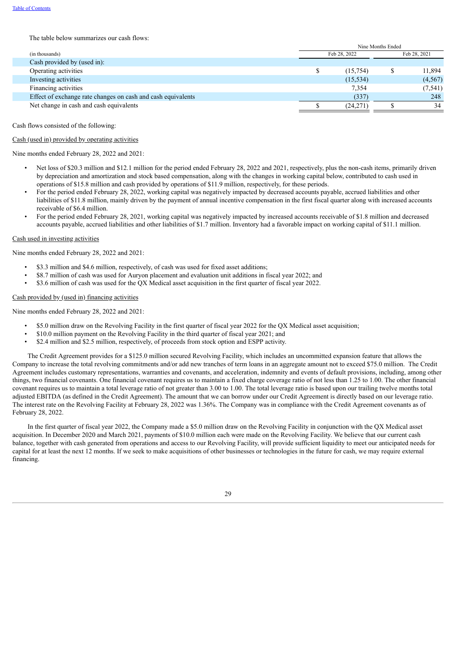#### The table below summarizes our cash flows:

|                                                              | Nine Months Ended |              |          |  |  |  |
|--------------------------------------------------------------|-------------------|--------------|----------|--|--|--|
| (in thousands)                                               | Feb 28, 2022      | Feb 28, 2021 |          |  |  |  |
| Cash provided by (used in):                                  |                   |              |          |  |  |  |
| Operating activities                                         | (15, 754)         |              | 11,894   |  |  |  |
| Investing activities                                         | (15, 534)         |              | (4,567)  |  |  |  |
| Financing activities                                         | 7,354             |              | (7, 541) |  |  |  |
| Effect of exchange rate changes on cash and cash equivalents | (337)             |              | 248      |  |  |  |
| Net change in cash and cash equivalents                      | (24,271)          |              | 34       |  |  |  |
|                                                              |                   |              |          |  |  |  |

Cash flows consisted of the following:

#### Cash (used in) provided by operating activities

Nine months ended February 28, 2022 and 2021:

- Net loss of \$20.3 million and \$12.1 million for the period ended February 28, 2022 and 2021, respectively, plus the non-cash items, primarily driven by depreciation and amortization and stock based compensation, along with the changes in working capital below, contributed to cash used in operations of \$15.8 million and cash provided by operations of \$11.9 million, respectively, for these periods.
- For the period ended February 28, 2022, working capital was negatively impacted by decreased accounts payable, accrued liabilities and other liabilities of \$11.8 million, mainly driven by the payment of annual incentive compensation in the first fiscal quarter along with increased accounts receivable of \$6.4 million.
- For the period ended February 28, 2021, working capital was negatively impacted by increased accounts receivable of \$1.8 million and decreased accounts payable, accrued liabilities and other liabilities of \$1.7 million. Inventory had a favorable impact on working capital of \$11.1 million.

#### Cash used in investing activities

Nine months ended February 28, 2022 and 2021:

- \$3.3 million and \$4.6 million, respectively, of cash was used for fixed asset additions;
- \$8.7 million of cash was used for Auryon placement and evaluation unit additions in fiscal year 2022; and
- \$3.6 million of cash was used for the QX Medical asset acquisition in the first quarter of fiscal year 2022.

## Cash provided by (used in) financing activities

Nine months ended February 28, 2022 and 2021:

- \$5.0 million draw on the Revolving Facility in the first quarter of fiscal year 2022 for the QX Medical asset acquisition;
- \$10.0 million payment on the Revolving Facility in the third quarter of fiscal year 2021; and
- \$2.4 million and \$2.5 million, respectively, of proceeds from stock option and ESPP activity.

The Credit Agreement provides for a \$125.0 million secured Revolving Facility, which includes an uncommitted expansion feature that allows the Company to increase the total revolving commitments and/or add new tranches of term loans in an aggregate amount not to exceed \$75.0 million. The Credit Agreement includes customary representations, warranties and covenants, and acceleration, indemnity and events of default provisions, including, among other things, two financial covenants. One financial covenant requires us to maintain a fixed charge coverage ratio of not less than 1.25 to 1.00. The other financial covenant requires us to maintain a total leverage ratio of not greater than 3.00 to 1.00. The total leverage ratio is based upon our trailing twelve months total adjusted EBITDA (as defined in the Credit Agreement). The amount that we can borrow under our Credit Agreement is directly based on our leverage ratio. The interest rate on the Revolving Facility at February 28, 2022 was 1.36%. The Company was in compliance with the Credit Agreement covenants as of February 28, 2022.

In the first quarter of fiscal year 2022, the Company made a \$5.0 million draw on the Revolving Facility in conjunction with the QX Medical asset acquisition. In December 2020 and March 2021, payments of \$10.0 million each were made on the Revolving Facility. We believe that our current cash balance, together with cash generated from operations and access to our Revolving Facility, will provide sufficient liquidity to meet our anticipated needs for capital for at least the next 12 months. If we seek to make acquisitions of other businesses or technologies in the future for cash, we may require external financing.

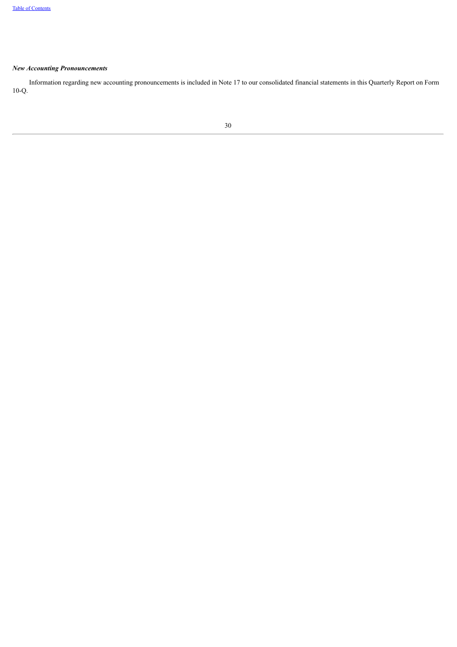## *New Accounting Pronouncements*

<span id="page-30-0"></span>Information regarding new accounting pronouncements is included in Note 17 to our consolidated financial statements in this Quarterly Report on Form 10-Q.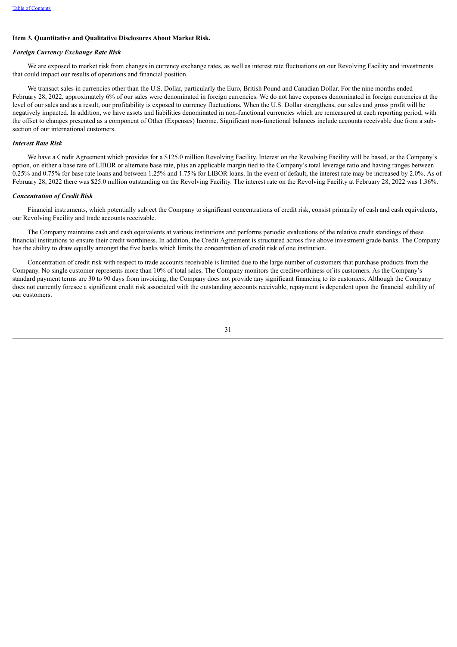#### **Item 3. Quantitative and Qualitative Disclosures About Market Risk.**

#### *Foreign Currency Exchange Rate Risk*

We are exposed to market risk from changes in currency exchange rates, as well as interest rate fluctuations on our Revolving Facility and investments that could impact our results of operations and financial position.

We transact sales in currencies other than the U.S. Dollar, particularly the Euro, British Pound and Canadian Dollar. For the nine months ended February 28, 2022, approximately 6% of our sales were denominated in foreign currencies. We do not have expenses denominated in foreign currencies at the level of our sales and as a result, our profitability is exposed to currency fluctuations. When the U.S. Dollar strengthens, our sales and gross profit will be negatively impacted. In addition, we have assets and liabilities denominated in non-functional currencies which are remeasured at each reporting period, with the offset to changes presented as a component of Other (Expenses) Income. Significant non-functional balances include accounts receivable due from a subsection of our international customers.

## *Interest Rate Risk*

We have a Credit Agreement which provides for a \$125.0 million Revolving Facility. Interest on the Revolving Facility will be based, at the Company's option, on either a base rate of LIBOR or alternate base rate, plus an applicable margin tied to the Company's total leverage ratio and having ranges between 0.25% and 0.75% for base rate loans and between 1.25% and 1.75% for LIBOR loans. In the event of default, the interest rate may be increased by 2.0%. As of February 28, 2022 there was \$25.0 million outstanding on the Revolving Facility. The interest rate on the Revolving Facility at February 28, 2022 was 1.36%.

#### *Concentration of Credit Risk*

Financial instruments, which potentially subject the Company to significant concentrations of credit risk, consist primarily of cash and cash equivalents, our Revolving Facility and trade accounts receivable.

The Company maintains cash and cash equivalents at various institutions and performs periodic evaluations of the relative credit standings of these financial institutions to ensure their credit worthiness. In addition, the Credit Agreement is structured across five above investment grade banks. The Company has the ability to draw equally amongst the five banks which limits the concentration of credit risk of one institution.

<span id="page-31-0"></span>Concentration of credit risk with respect to trade accounts receivable is limited due to the large number of customers that purchase products from the Company. No single customer represents more than 10% of total sales. The Company monitors the creditworthiness of its customers. As the Company's standard payment terms are 30 to 90 days from invoicing, the Company does not provide any significant financing to its customers. Although the Company does not currently foresee a significant credit risk associated with the outstanding accounts receivable, repayment is dependent upon the financial stability of our customers.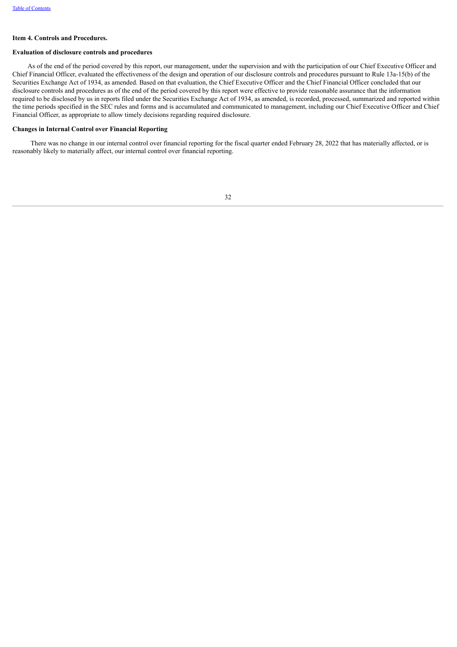#### **Item 4. Controls and Procedures.**

### **Evaluation of disclosure controls and procedures**

As of the end of the period covered by this report, our management, under the supervision and with the participation of our Chief Executive Officer and Chief Financial Officer, evaluated the effectiveness of the design and operation of our disclosure controls and procedures pursuant to Rule 13a-15(b) of the Securities Exchange Act of 1934, as amended. Based on that evaluation, the Chief Executive Officer and the Chief Financial Officer concluded that our disclosure controls and procedures as of the end of the period covered by this report were effective to provide reasonable assurance that the information required to be disclosed by us in reports filed under the Securities Exchange Act of 1934, as amended, is recorded, processed, summarized and reported within the time periods specified in the SEC rules and forms and is accumulated and communicated to management, including our Chief Executive Officer and Chief Financial Officer, as appropriate to allow timely decisions regarding required disclosure.

## **Changes in Internal Control over Financial Reporting**

<span id="page-32-0"></span>There was no change in our internal control over financial reporting for the fiscal quarter ended February 28, 2022 that has materially affected, or is reasonably likely to materially affect, our internal control over financial reporting.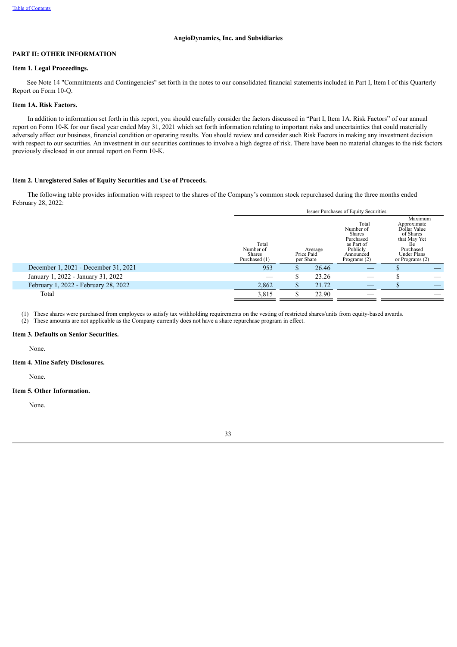## **PART II: OTHER INFORMATION**

#### <span id="page-33-0"></span>**Item 1. Legal Proceedings.**

See Note 14 "Commitments and Contingencies" set forth in the notes to our consolidated financial statements included in Part I, Item I of this Quarterly Report on Form 10-Q.

#### <span id="page-33-1"></span>**Item 1A. Risk Factors.**

In addition to information set forth in this report, you should carefully consider the factors discussed in "Part I, Item 1A. Risk Factors" of our annual report on Form 10-K for our fiscal year ended May 31, 2021 which set forth information relating to important risks and uncertainties that could materially adversely affect our business, financial condition or operating results. You should review and consider such Risk Factors in making any investment decision with respect to our securities. An investment in our securities continues to involve a high degree of risk. There have been no material changes to the risk factors previously disclosed in our annual report on Form 10-K.

## <span id="page-33-2"></span>**Item 2. Unregistered Sales of Equity Securities and Use of Proceeds.**

The following table provides information with respect to the shares of the Company's common stock repurchased during the three months ended February 28, 2022:

|                                      | <b>Issuer Purchases of Equity Securities</b>         |                         |         |                                                                                                         |                                                                                                                                              |  |  |  |
|--------------------------------------|------------------------------------------------------|-------------------------|---------|---------------------------------------------------------------------------------------------------------|----------------------------------------------------------------------------------------------------------------------------------------------|--|--|--|
|                                      | Total<br>Number of<br><b>Shares</b><br>Purchased (1) | Price Paid<br>per Share | Average | Total<br>Number of<br><b>Shares</b><br>Purchased<br>as Part of<br>Publicly<br>Announced<br>Programs (2) | Maximum<br>Approximate<br>Dollar Value<br>of Shares<br>that May Yet<br>Be <sup>-</sup><br>Purchased<br><b>Under Plans</b><br>or Programs (2) |  |  |  |
| December 1, 2021 - December 31, 2021 | 953                                                  |                         | 26.46   |                                                                                                         |                                                                                                                                              |  |  |  |
| January 1, 2022 - January 31, 2022   |                                                      |                         | 23.26   |                                                                                                         |                                                                                                                                              |  |  |  |
| February 1, 2022 - February 28, 2022 | 2,862                                                |                         | 21.72   |                                                                                                         |                                                                                                                                              |  |  |  |
| Total                                | 3,815                                                |                         | 22.90   |                                                                                                         |                                                                                                                                              |  |  |  |

(1) These shares were purchased from employees to satisfy tax withholding requirements on the vesting of restricted shares/units from equity-based awards.

(2) These amounts are not applicable as the Company currently does not have a share repurchase program in effect.

## <span id="page-33-3"></span>**Item 3. Defaults on Senior Securities.**

None.

#### <span id="page-33-4"></span>**Item 4. Mine Safety Disclosures.**

None.

## <span id="page-33-5"></span>**Item 5. Other Information.**

<span id="page-33-6"></span>None.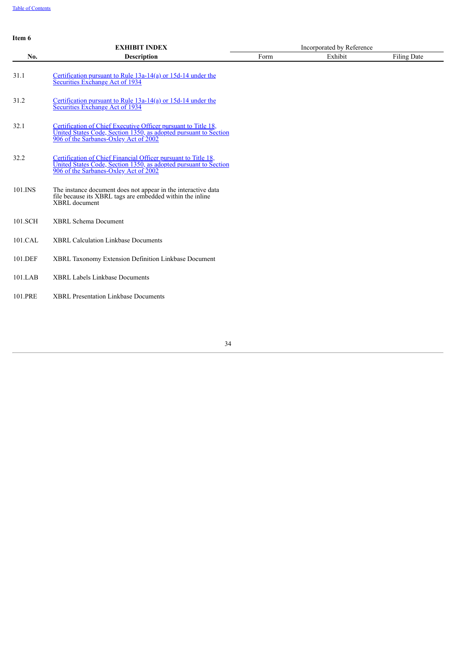**Item 6**

|         | <b>EXHIBIT INDEX</b>                                                                                                                                                        |      | Incorporated by Reference |                    |
|---------|-----------------------------------------------------------------------------------------------------------------------------------------------------------------------------|------|---------------------------|--------------------|
| No.     | <b>Description</b>                                                                                                                                                          | Form | Exhibit                   | <b>Filing Date</b> |
| 31.1    | Certification pursuant to Rule $13a-14(a)$ or $15d-14$ under the<br>Securities Exchange Act of 1934                                                                         |      |                           |                    |
| 31.2    | Certification pursuant to Rule $13a-14(a)$ or $15d-14$ under the<br>Securities Exchange Act of 1934                                                                         |      |                           |                    |
| 32.1    | Certification of Chief Executive Officer pursuant to Title 18,<br>United States Code, Section 1350, as adopted pursuant to Section<br>906 of the Sarbanes-Oxley Act of 2002 |      |                           |                    |
| 32.2    | Certification of Chief Financial Officer pursuant to Title 18,<br>United States Code, Section 1350, as adopted pursuant to Section<br>906 of the Sarbanes-Oxley Act of 2002 |      |                           |                    |
| 101.INS | The instance document does not appear in the interactive data<br>file because its XBRL tags are embedded within the inline<br>XBRL document                                 |      |                           |                    |
| 101.SCH | <b>XBRL Schema Document</b>                                                                                                                                                 |      |                           |                    |
| 101.CAL | <b>XBRL Calculation Linkbase Documents</b>                                                                                                                                  |      |                           |                    |
| 101.DEF | XBRL Taxonomy Extension Definition Linkbase Document                                                                                                                        |      |                           |                    |
| 101.LAB | <b>XBRL Labels Linkbase Documents</b>                                                                                                                                       |      |                           |                    |
| 101.PRE | <b>XBRL Presentation Linkbase Documents</b>                                                                                                                                 |      |                           |                    |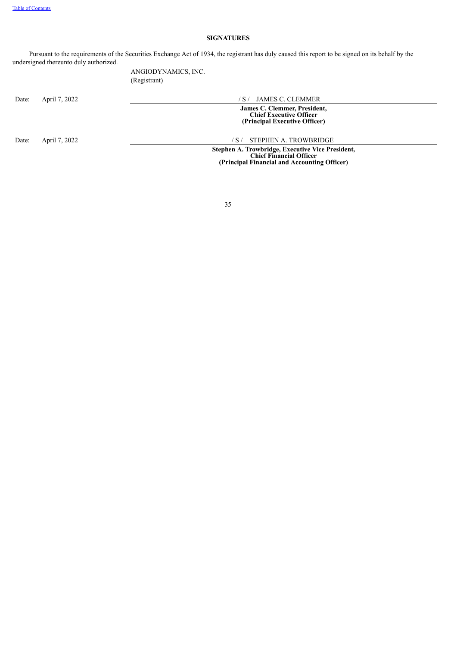## **SIGNATURES**

Pursuant to the requirements of the Securities Exchange Act of 1934, the registrant has duly caused this report to be signed on its behalf by the undersigned thereunto duly authorized.

> ANGIODYNAMICS, INC. (Registrant)

Date: April 7, 2022 / S / JAMES C. CLEMMER

**James C. Clemmer, President, Chief Executive Officer (Principal Executive Officer)**

Date: April 7, 2022 / S/ STEPHEN A. TROWBRIDGE

**Stephen A. Trowbridge, Executive Vice President, Chief Financial Officer (Principal Financial and Accounting Officer)**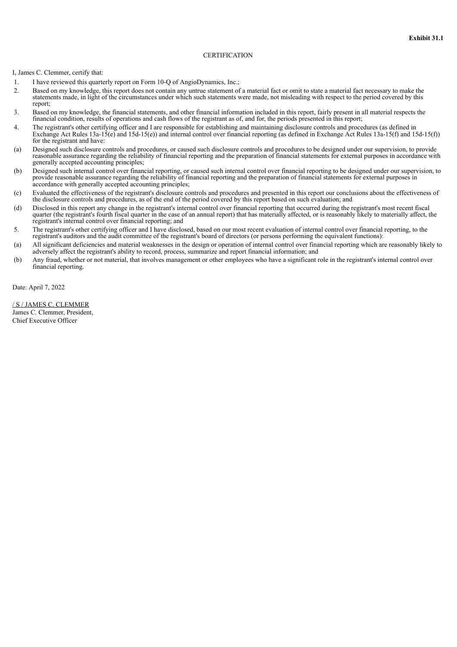## **CERTIFICATION**

<span id="page-36-0"></span>I, James C. Clemmer, certify that:

- 1. I have reviewed this quarterly report on Form 10-Q of AngioDynamics, Inc.;
- 2. Based on my knowledge, this report does not contain any untrue statement of a material fact or omit to state a material fact necessary to make the statements made, in light of the circumstances under which such statements were made, not misleading with respect to the period covered by this report;
- 3. Based on my knowledge, the financial statements, and other financial information included in this report, fairly present in all material respects the financial condition, results of operations and cash flows of the registrant as of, and for, the periods presented in this report;
- 4. The registrant's other certifying officer and I are responsible for establishing and maintaining disclosure controls and procedures (as defined in Exchange Act Rules 13a-15(e) and 15d-15(e)) and internal control over financial reporting (as defined in Exchange Act Rules 13a-15(f) and 15d-15(f)) for the registrant and have:
- (a) Designed such disclosure controls and procedures, or caused such disclosure controls and procedures to be designed under our supervision, to provide reasonable assurance regarding the reliability of financial reporting and the preparation of financial statements for external purposes in accordance with generally accepted accounting principles;
- (b) Designed such internal control over financial reporting, or caused such internal control over financial reporting to be designed under our supervision, to provide reasonable assurance regarding the reliability of financial reporting and the preparation of financial statements for external purposes in accordance with generally accepted accounting principles;
- (c) Evaluated the effectiveness of the registrant's disclosure controls and procedures and presented in this report our conclusions about the effectiveness of the disclosure controls and procedures, as of the end of the period covered by this report based on such evaluation; and
- (d) Disclosed in this report any change in the registrant's internal control over financial reporting that occurred during the registrant's most recent fiscal quarter (the registrant's fourth fiscal quarter in the case of an annual report) that has materially affected, or is reasonably likely to materially affect, the registrant's internal control over financial reporting; and
- 5. The registrant's other certifying officer and I have disclosed, based on our most recent evaluation of internal control over financial reporting, to the registrant's auditors and the audit committee of the registrant's board of directors (or persons performing the equivalent functions):
- (a) All significant deficiencies and material weaknesses in the design or operation of internal control over financial reporting which are reasonably likely to adversely affect the registrant's ability to record, process, summarize and report financial information; and
- (b) Any fraud, whether or not material, that involves management or other employees who have a significant role in the registrant's internal control over financial reporting.

Date: April 7, 2022

/ S / JAMES C. CLEMMER James C. Clemmer, President, Chief Executive Officer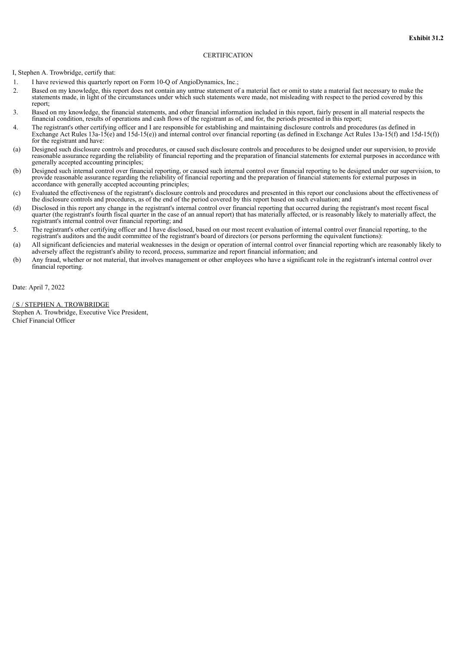## **CERTIFICATION**

<span id="page-37-0"></span>I, Stephen A. Trowbridge, certify that:

- 1. I have reviewed this quarterly report on Form 10-Q of AngioDynamics, Inc.;
- 2. Based on my knowledge, this report does not contain any untrue statement of a material fact or omit to state a material fact necessary to make the statements made, in light of the circumstances under which such statements were made, not misleading with respect to the period covered by this report;
- 3. Based on my knowledge, the financial statements, and other financial information included in this report, fairly present in all material respects the financial condition, results of operations and cash flows of the registrant as of, and for, the periods presented in this report;
- 4. The registrant's other certifying officer and I are responsible for establishing and maintaining disclosure controls and procedures (as defined in Exchange Act Rules 13a-15(e) and 15d-15(e)) and internal control over financial reporting (as defined in Exchange Act Rules 13a-15(f) and 15d-15(f)) for the registrant and have:
- (a) Designed such disclosure controls and procedures, or caused such disclosure controls and procedures to be designed under our supervision, to provide reasonable assurance regarding the reliability of financial reporting and the preparation of financial statements for external purposes in accordance with generally accepted accounting principles;
- (b) Designed such internal control over financial reporting, or caused such internal control over financial reporting to be designed under our supervision, to provide reasonable assurance regarding the reliability of financial reporting and the preparation of financial statements for external purposes in accordance with generally accepted accounting principles;
- (c) Evaluated the effectiveness of the registrant's disclosure controls and procedures and presented in this report our conclusions about the effectiveness of the disclosure controls and procedures, as of the end of the period covered by this report based on such evaluation; and
- (d) Disclosed in this report any change in the registrant's internal control over financial reporting that occurred during the registrant's most recent fiscal quarter (the registrant's fourth fiscal quarter in the case of an annual report) that has materially affected, or is reasonably likely to materially affect, the registrant's internal control over financial reporting; and
- 5. The registrant's other certifying officer and I have disclosed, based on our most recent evaluation of internal control over financial reporting, to the registrant's auditors and the audit committee of the registrant's board of directors (or persons performing the equivalent functions):
- (a) All significant deficiencies and material weaknesses in the design or operation of internal control over financial reporting which are reasonably likely to adversely affect the registrant's ability to record, process, summarize and report financial information; and
- (b) Any fraud, whether or not material, that involves management or other employees who have a significant role in the registrant's internal control over financial reporting.

Date: April 7, 2022

## / S / STEPHEN A. TROWBRIDGE

Stephen A. Trowbridge, Executive Vice President, Chief Financial Officer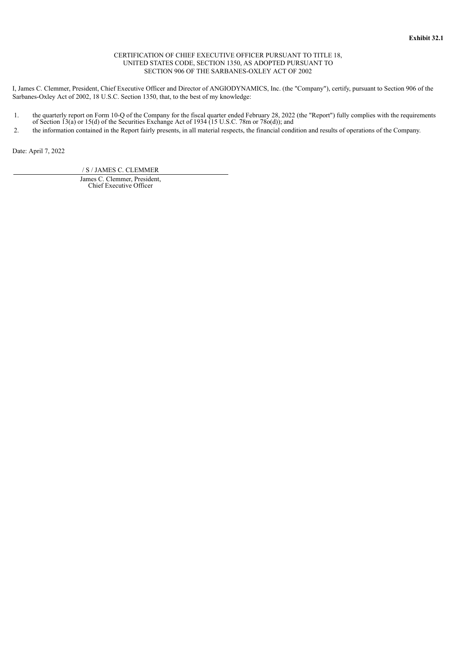## CERTIFICATION OF CHIEF EXECUTIVE OFFICER PURSUANT TO TITLE 18, UNITED STATES CODE, SECTION 1350, AS ADOPTED PURSUANT TO SECTION 906 OF THE SARBANES-OXLEY ACT OF 2002

<span id="page-38-0"></span>I, James C. Clemmer, President, Chief Executive Officer and Director of ANGIODYNAMICS, Inc. (the "Company"), certify, pursuant to Section 906 of the Sarbanes-Oxley Act of 2002, 18 U.S.C. Section 1350, that, to the best of my knowledge:

- 1. the quarterly report on Form 10-Q of the Company for the fiscal quarter ended February 28, 2022 (the "Report") fully complies with the requirements of Section 13(a) or 15(d) of the Securities Exchange Act of 1934 (15 U.S.C. 78m or 78o(d)); and
- 2. the information contained in the Report fairly presents, in all material respects, the financial condition and results of operations of the Company.

Date: April 7, 2022

/ S / JAMES C. CLEMMER

James C. Clemmer, President, Chief Executive Officer